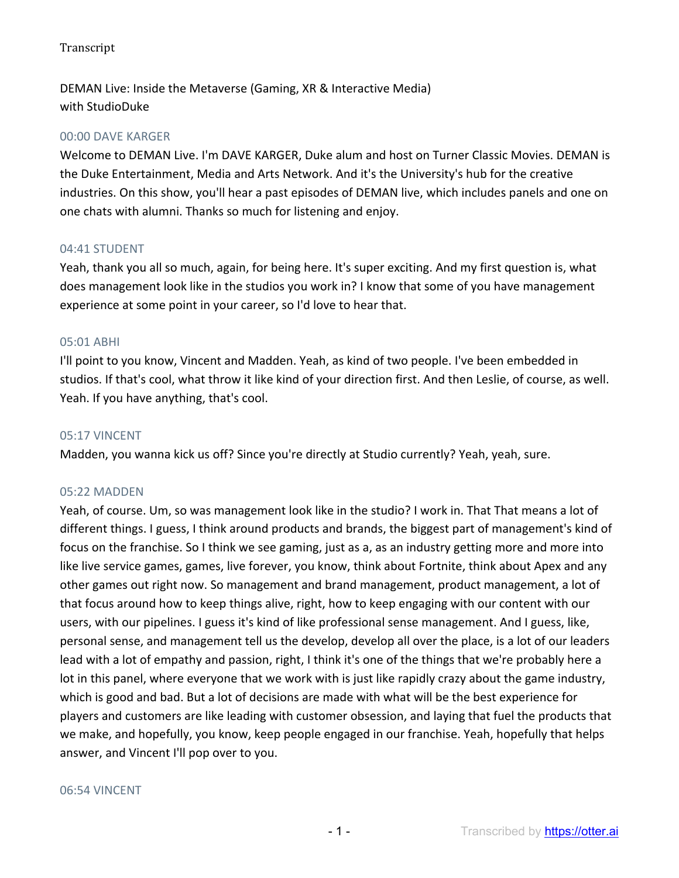DEMAN Live: Inside the Metaverse (Gaming, XR & Interactive Media) with StudioDuke

### 00:00 DAVE KARGER

Welcome to DEMAN Live. I'm DAVE KARGER, Duke alum and host on Turner Classic Movies. DEMAN is the Duke Entertainment, Media and Arts Network. And it's the University's hub for the creative industries. On this show, you'll hear a past episodes of DEMAN live, which includes panels and one on one chats with alumni. Thanks so much for listening and enjoy.

### 04:41 STUDENT

Yeah, thank you all so much, again, for being here. It's super exciting. And my first question is, what does management look like in the studios you work in? I know that some of you have management experience at some point in your career, so I'd love to hear that.

#### 05:01 ABHI

I'll point to you know, Vincent and Madden. Yeah, as kind of two people. I've been embedded in studios. If that's cool, what throw it like kind of your direction first. And then Leslie, of course, as well. Yeah. If you have anything, that's cool.

#### 05:17 VINCENT

Madden, you wanna kick us off? Since you're directly at Studio currently? Yeah, yeah, sure.

### 05:22 MADDEN

Yeah, of course. Um, so was management look like in the studio? I work in. That That means a lot of different things. I guess, I think around products and brands, the biggest part of management's kind of focus on the franchise. So I think we see gaming, just as a, as an industry getting more and more into like live service games, games, live forever, you know, think about Fortnite, think about Apex and any other games out right now. So management and brand management, product management, a lot of that focus around how to keep things alive, right, how to keep engaging with our content with our users, with our pipelines. I guess it's kind of like professional sense management. And I guess, like, personal sense, and management tell us the develop, develop all over the place, is a lot of our leaders lead with a lot of empathy and passion, right, I think it's one of the things that we're probably here a lot in this panel, where everyone that we work with is just like rapidly crazy about the game industry, which is good and bad. But a lot of decisions are made with what will be the best experience for players and customers are like leading with customer obsession, and laying that fuel the products that we make, and hopefully, you know, keep people engaged in our franchise. Yeah, hopefully that helps answer, and Vincent I'll pop over to you.

#### 06:54 VINCENT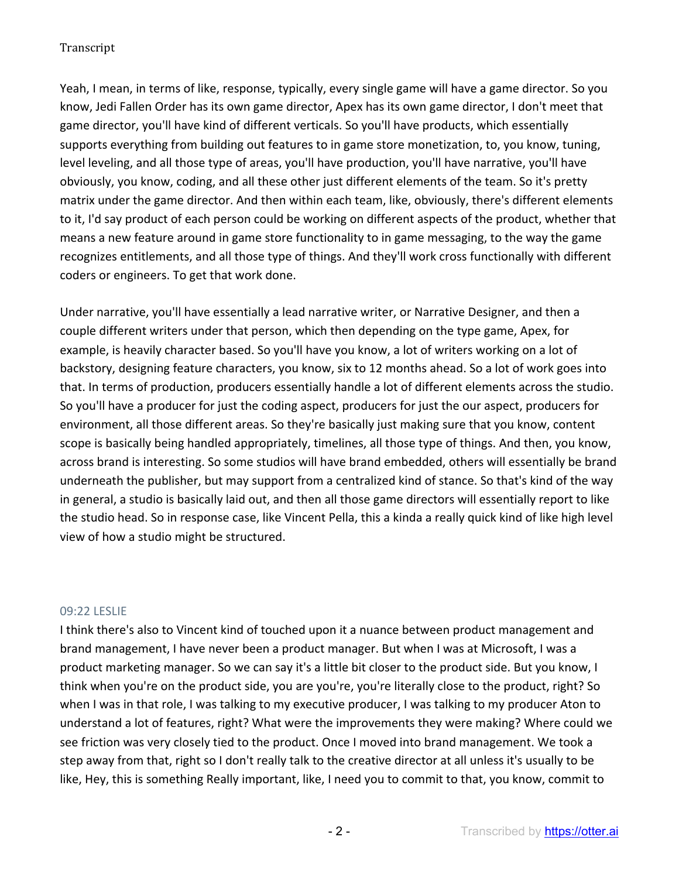Yeah, I mean, in terms of like, response, typically, every single game will have a game director. So you know, Jedi Fallen Order has its own game director, Apex has its own game director, I don't meet that game director, you'll have kind of different verticals. So you'll have products, which essentially supports everything from building out features to in game store monetization, to, you know, tuning, level leveling, and all those type of areas, you'll have production, you'll have narrative, you'll have obviously, you know, coding, and all these other just different elements of the team. So it's pretty matrix under the game director. And then within each team, like, obviously, there's different elements to it, I'd say product of each person could be working on different aspects of the product, whether that means a new feature around in game store functionality to in game messaging, to the way the game recognizes entitlements, and all those type of things. And they'll work cross functionally with different coders or engineers. To get that work done.

Under narrative, you'll have essentially a lead narrative writer, or Narrative Designer, and then a couple different writers under that person, which then depending on the type game, Apex, for example, is heavily character based. So you'll have you know, a lot of writers working on a lot of backstory, designing feature characters, you know, six to 12 months ahead. So a lot of work goes into that. In terms of production, producers essentially handle a lot of different elements across the studio. So you'll have a producer for just the coding aspect, producers for just the our aspect, producers for environment, all those different areas. So they're basically just making sure that you know, content scope is basically being handled appropriately, timelines, all those type of things. And then, you know, across brand is interesting. So some studios will have brand embedded, others will essentially be brand underneath the publisher, but may support from a centralized kind of stance. So that's kind of the way in general, a studio is basically laid out, and then all those game directors will essentially report to like the studio head. So in response case, like Vincent Pella, this a kinda a really quick kind of like high level view of how a studio might be structured.

### 09:22 LESLIE

I think there's also to Vincent kind of touched upon it a nuance between product management and brand management, I have never been a product manager. But when I was at Microsoft, I was a product marketing manager. So we can say it's a little bit closer to the product side. But you know, I think when you're on the product side, you are you're, you're literally close to the product, right? So when I was in that role, I was talking to my executive producer, I was talking to my producer Aton to understand a lot of features, right? What were the improvements they were making? Where could we see friction was very closely tied to the product. Once I moved into brand management. We took a step away from that, right so I don't really talk to the creative director at all unless it's usually to be like, Hey, this is something Really important, like, I need you to commit to that, you know, commit to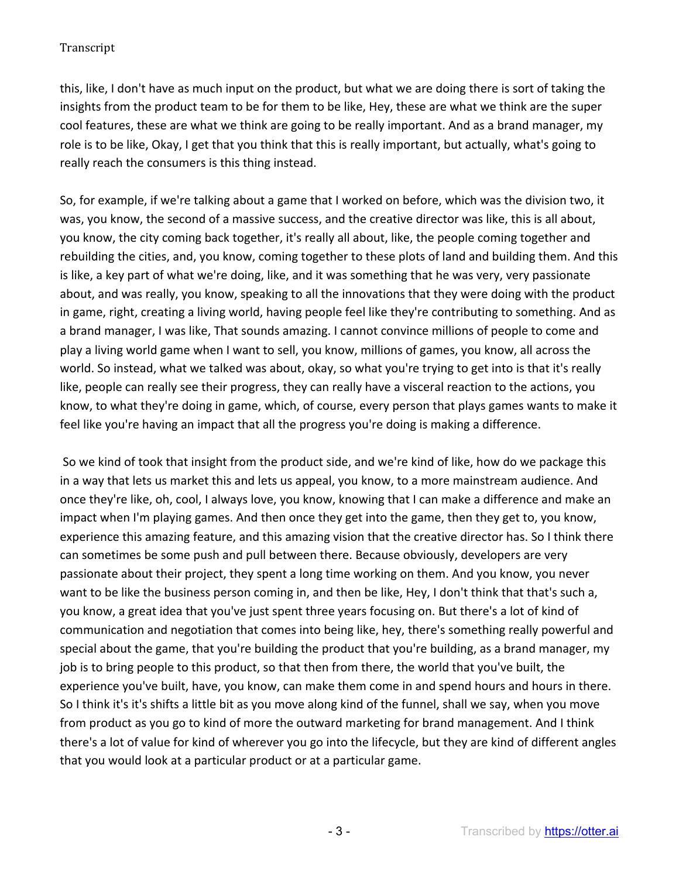this, like, I don't have as much input on the product, but what we are doing there is sort of taking the insights from the product team to be for them to be like, Hey, these are what we think are the super cool features, these are what we think are going to be really important. And as a brand manager, my role is to be like, Okay, I get that you think that this is really important, but actually, what's going to really reach the consumers is this thing instead.

So, for example, if we're talking about a game that I worked on before, which was the division two, it was, you know, the second of a massive success, and the creative director was like, this is all about, you know, the city coming back together, it's really all about, like, the people coming together and rebuilding the cities, and, you know, coming together to these plots of land and building them. And this is like, a key part of what we're doing, like, and it was something that he was very, very passionate about, and was really, you know, speaking to all the innovations that they were doing with the product in game, right, creating a living world, having people feel like they're contributing to something. And as a brand manager, I was like, That sounds amazing. I cannot convince millions of people to come and play a living world game when I want to sell, you know, millions of games, you know, all across the world. So instead, what we talked was about, okay, so what you're trying to get into is that it's really like, people can really see their progress, they can really have a visceral reaction to the actions, you know, to what they're doing in game, which, of course, every person that plays games wants to make it feel like you're having an impact that all the progress you're doing is making a difference.

So we kind of took that insight from the product side, and we're kind of like, how do we package this in a way that lets us market this and lets us appeal, you know, to a more mainstream audience. And once they're like, oh, cool, I always love, you know, knowing that I can make a difference and make an impact when I'm playing games. And then once they get into the game, then they get to, you know, experience this amazing feature, and this amazing vision that the creative director has. So I think there can sometimes be some push and pull between there. Because obviously, developers are very passionate about their project, they spent a long time working on them. And you know, you never want to be like the business person coming in, and then be like, Hey, I don't think that that's such a, you know, a great idea that you've just spent three years focusing on. But there's a lot of kind of communication and negotiation that comes into being like, hey, there's something really powerful and special about the game, that you're building the product that you're building, as a brand manager, my job is to bring people to this product, so that then from there, the world that you've built, the experience you've built, have, you know, can make them come in and spend hours and hours in there. So I think it's it's shifts a little bit as you move along kind of the funnel, shall we say, when you move from product as you go to kind of more the outward marketing for brand management. And I think there's a lot of value for kind of wherever you go into the lifecycle, but they are kind of different angles that you would look at a particular product or at a particular game.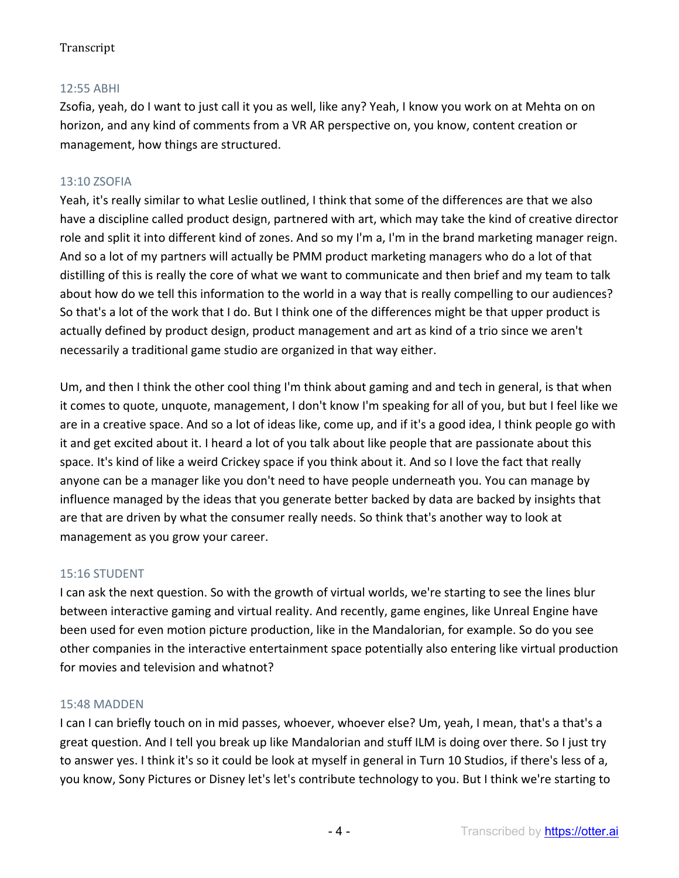# 12:55 ABHI

Zsofia, yeah, do I want to just call it you as well, like any? Yeah, I know you work on at Mehta on on horizon, and any kind of comments from a VR AR perspective on, you know, content creation or management, how things are structured.

# 13:10 ZSOFIA

Yeah, it's really similar to what Leslie outlined, I think that some of the differences are that we also have a discipline called product design, partnered with art, which may take the kind of creative director role and split it into different kind of zones. And so my I'm a, I'm in the brand marketing manager reign. And so a lot of my partners will actually be PMM product marketing managers who do a lot of that distilling of this is really the core of what we want to communicate and then brief and my team to talk about how do we tell this information to the world in a way that is really compelling to our audiences? So that's a lot of the work that I do. But I think one of the differences might be that upper product is actually defined by product design, product management and art as kind of a trio since we aren't necessarily a traditional game studio are organized in that way either.

Um, and then I think the other cool thing I'm think about gaming and and tech in general, is that when it comes to quote, unquote, management, I don't know I'm speaking for all of you, but but I feel like we are in a creative space. And so a lot of ideas like, come up, and if it's a good idea, I think people go with it and get excited about it. I heard a lot of you talk about like people that are passionate about this space. It's kind of like a weird Crickey space if you think about it. And so I love the fact that really anyone can be a manager like you don't need to have people underneath you. You can manage by influence managed by the ideas that you generate better backed by data are backed by insights that are that are driven by what the consumer really needs. So think that's another way to look at management as you grow your career.

# 15:16 STUDENT

I can ask the next question. So with the growth of virtual worlds, we're starting to see the lines blur between interactive gaming and virtual reality. And recently, game engines, like Unreal Engine have been used for even motion picture production, like in the Mandalorian, for example. So do you see other companies in the interactive entertainment space potentially also entering like virtual production for movies and television and whatnot?

### 15:48 MADDEN

I can I can briefly touch on in mid passes, whoever, whoever else? Um, yeah, I mean, that's a that's a great question. And I tell you break up like Mandalorian and stuff ILM is doing over there. So I just try to answer yes. I think it's so it could be look at myself in general in Turn 10 Studios, if there's less of a, you know, Sony Pictures or Disney let's let's contribute technology to you. But I think we're starting to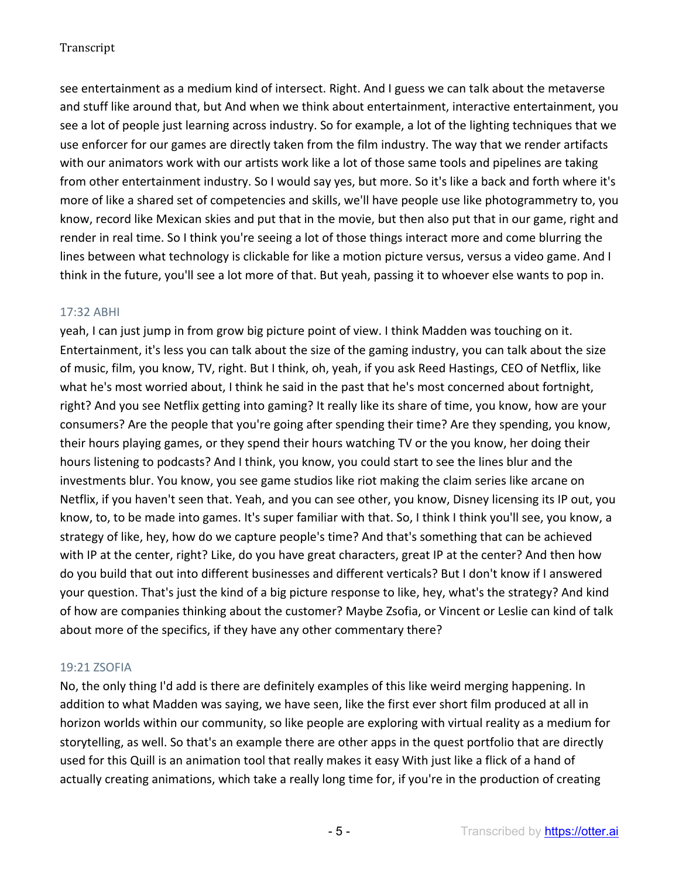see entertainment as a medium kind of intersect. Right. And I guess we can talk about the metaverse and stuff like around that, but And when we think about entertainment, interactive entertainment, you see a lot of people just learning across industry. So for example, a lot of the lighting techniques that we use enforcer for our games are directly taken from the film industry. The way that we render artifacts with our animators work with our artists work like a lot of those same tools and pipelines are taking from other entertainment industry. So I would say yes, but more. So it's like a back and forth where it's more of like a shared set of competencies and skills, we'll have people use like photogrammetry to, you know, record like Mexican skies and put that in the movie, but then also put that in our game, right and render in real time. So I think you're seeing a lot of those things interact more and come blurring the lines between what technology is clickable for like a motion picture versus, versus a video game. And I think in the future, you'll see a lot more of that. But yeah, passing it to whoever else wants to pop in.

### 17:32 ABHI

yeah, I can just jump in from grow big picture point of view. I think Madden was touching on it. Entertainment, it's less you can talk about the size of the gaming industry, you can talk about the size of music, film, you know, TV, right. But I think, oh, yeah, if you ask Reed Hastings, CEO of Netflix, like what he's most worried about, I think he said in the past that he's most concerned about fortnight, right? And you see Netflix getting into gaming? It really like its share of time, you know, how are your consumers? Are the people that you're going after spending their time? Are they spending, you know, their hours playing games, or they spend their hours watching TV or the you know, her doing their hours listening to podcasts? And I think, you know, you could start to see the lines blur and the investments blur. You know, you see game studios like riot making the claim series like arcane on Netflix, if you haven't seen that. Yeah, and you can see other, you know, Disney licensing its IP out, you know, to, to be made into games. It's super familiar with that. So, I think I think you'll see, you know, a strategy of like, hey, how do we capture people's time? And that's something that can be achieved with IP at the center, right? Like, do you have great characters, great IP at the center? And then how do you build that out into different businesses and different verticals? But I don't know if I answered your question. That's just the kind of a big picture response to like, hey, what's the strategy? And kind of how are companies thinking about the customer? Maybe Zsofia, or Vincent or Leslie can kind of talk about more of the specifics, if they have any other commentary there?

### 19:21 ZSOFIA

No, the only thing I'd add is there are definitely examples of this like weird merging happening. In addition to what Madden was saying, we have seen, like the first ever short film produced at all in horizon worlds within our community, so like people are exploring with virtual reality as a medium for storytelling, as well. So that's an example there are other apps in the quest portfolio that are directly used for this Quill is an animation tool that really makes it easy With just like a flick of a hand of actually creating animations, which take a really long time for, if you're in the production of creating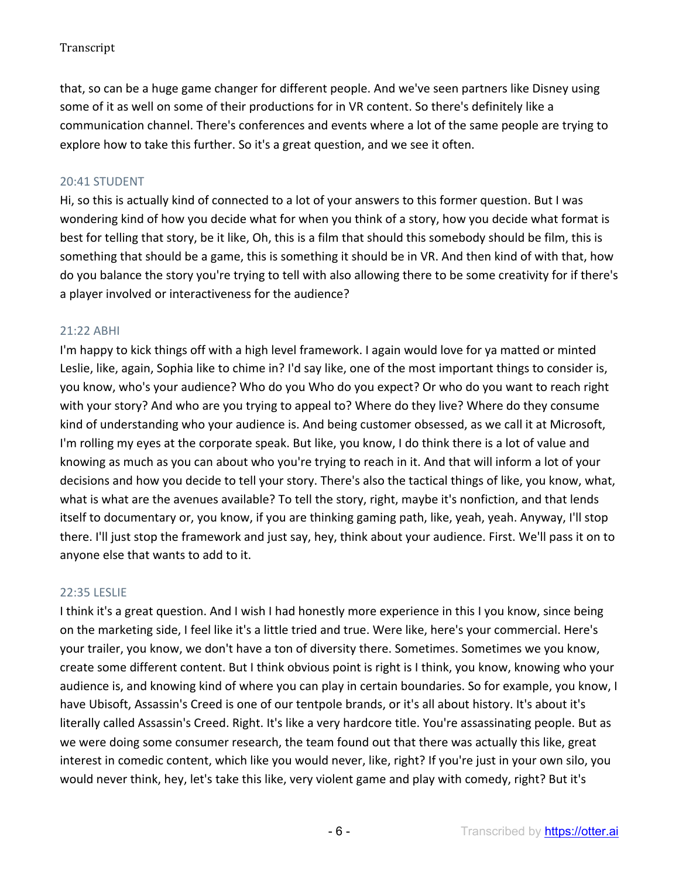that, so can be a huge game changer for different people. And we've seen partners like Disney using some of it as well on some of their productions for in VR content. So there's definitely like a communication channel. There's conferences and events where a lot of the same people are trying to explore how to take this further. So it's a great question, and we see it often.

### 20:41 STUDENT

Hi, so this is actually kind of connected to a lot of your answers to this former question. But I was wondering kind of how you decide what for when you think of a story, how you decide what format is best for telling that story, be it like, Oh, this is a film that should this somebody should be film, this is something that should be a game, this is something it should be in VR. And then kind of with that, how do you balance the story you're trying to tell with also allowing there to be some creativity for if there's a player involved or interactiveness for the audience?

### 21:22 ABHI

I'm happy to kick things off with a high level framework. I again would love for ya matted or minted Leslie, like, again, Sophia like to chime in? I'd say like, one of the most important things to consider is, you know, who's your audience? Who do you Who do you expect? Or who do you want to reach right with your story? And who are you trying to appeal to? Where do they live? Where do they consume kind of understanding who your audience is. And being customer obsessed, as we call it at Microsoft, I'm rolling my eyes at the corporate speak. But like, you know, I do think there is a lot of value and knowing as much as you can about who you're trying to reach in it. And that will inform a lot of your decisions and how you decide to tell your story. There's also the tactical things of like, you know, what, what is what are the avenues available? To tell the story, right, maybe it's nonfiction, and that lends itself to documentary or, you know, if you are thinking gaming path, like, yeah, yeah. Anyway, I'll stop there. I'll just stop the framework and just say, hey, think about your audience. First. We'll pass it on to anyone else that wants to add to it.

### 22:35 LESLIE

I think it's a great question. And I wish I had honestly more experience in this I you know, since being on the marketing side, I feel like it's a little tried and true. Were like, here's your commercial. Here's your trailer, you know, we don't have a ton of diversity there. Sometimes. Sometimes we you know, create some different content. But I think obvious point is right is I think, you know, knowing who your audience is, and knowing kind of where you can play in certain boundaries. So for example, you know, I have Ubisoft, Assassin's Creed is one of our tentpole brands, or it's all about history. It's about it's literally called Assassin's Creed. Right. It's like a very hardcore title. You're assassinating people. But as we were doing some consumer research, the team found out that there was actually this like, great interest in comedic content, which like you would never, like, right? If you're just in your own silo, you would never think, hey, let's take this like, very violent game and play with comedy, right? But it's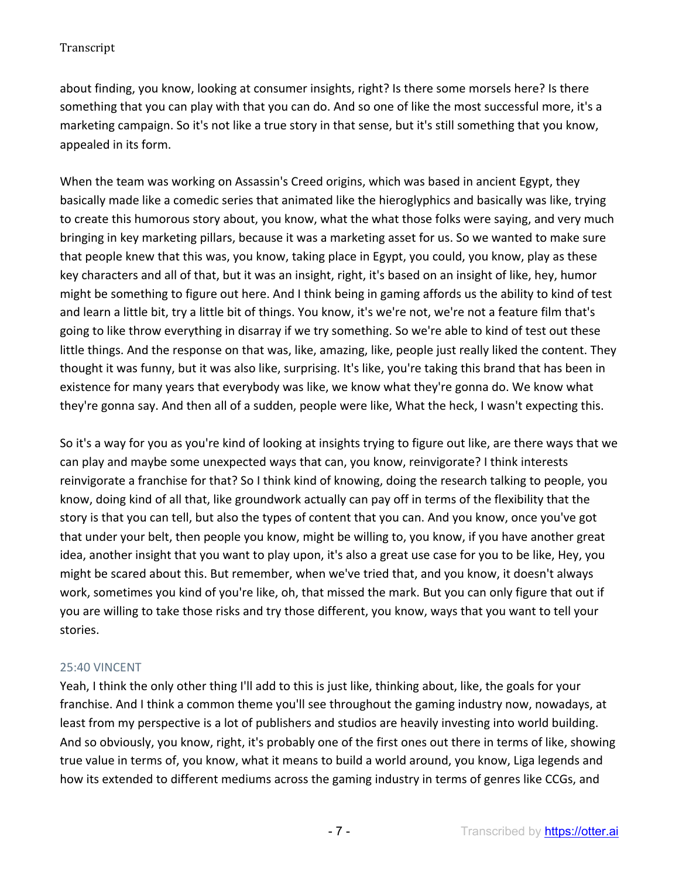about finding, you know, looking at consumer insights, right? Is there some morsels here? Is there something that you can play with that you can do. And so one of like the most successful more, it's a marketing campaign. So it's not like a true story in that sense, but it's still something that you know, appealed in its form.

When the team was working on Assassin's Creed origins, which was based in ancient Egypt, they basically made like a comedic series that animated like the hieroglyphics and basically was like, trying to create this humorous story about, you know, what the what those folks were saying, and very much bringing in key marketing pillars, because it was a marketing asset for us. So we wanted to make sure that people knew that this was, you know, taking place in Egypt, you could, you know, play as these key characters and all of that, but it was an insight, right, it's based on an insight of like, hey, humor might be something to figure out here. And I think being in gaming affords us the ability to kind of test and learn a little bit, try a little bit of things. You know, it's we're not, we're not a feature film that's going to like throw everything in disarray if we try something. So we're able to kind of test out these little things. And the response on that was, like, amazing, like, people just really liked the content. They thought it was funny, but it was also like, surprising. It's like, you're taking this brand that has been in existence for many years that everybody was like, we know what they're gonna do. We know what they're gonna say. And then all of a sudden, people were like, What the heck, I wasn't expecting this.

So it's a way for you as you're kind of looking at insights trying to figure out like, are there ways that we can play and maybe some unexpected ways that can, you know, reinvigorate? I think interests reinvigorate a franchise for that? So I think kind of knowing, doing the research talking to people, you know, doing kind of all that, like groundwork actually can pay off in terms of the flexibility that the story is that you can tell, but also the types of content that you can. And you know, once you've got that under your belt, then people you know, might be willing to, you know, if you have another great idea, another insight that you want to play upon, it's also a great use case for you to be like, Hey, you might be scared about this. But remember, when we've tried that, and you know, it doesn't always work, sometimes you kind of you're like, oh, that missed the mark. But you can only figure that out if you are willing to take those risks and try those different, you know, ways that you want to tell your stories.

# 25:40 VINCENT

Yeah, I think the only other thing I'll add to this is just like, thinking about, like, the goals for your franchise. And I think a common theme you'll see throughout the gaming industry now, nowadays, at least from my perspective is a lot of publishers and studios are heavily investing into world building. And so obviously, you know, right, it's probably one of the first ones out there in terms of like, showing true value in terms of, you know, what it means to build a world around, you know, Liga legends and how its extended to different mediums across the gaming industry in terms of genres like CCGs, and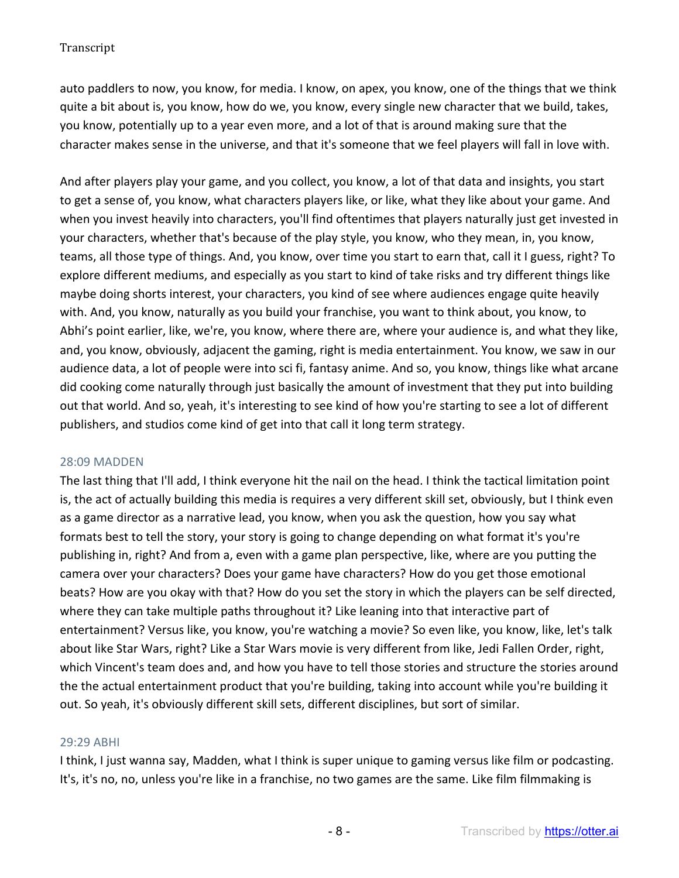auto paddlers to now, you know, for media. I know, on apex, you know, one of the things that we think quite a bit about is, you know, how do we, you know, every single new character that we build, takes, you know, potentially up to a year even more, and a lot of that is around making sure that the character makes sense in the universe, and that it's someone that we feel players will fall in love with.

And after players play your game, and you collect, you know, a lot of that data and insights, you start to get a sense of, you know, what characters players like, or like, what they like about your game. And when you invest heavily into characters, you'll find oftentimes that players naturally just get invested in your characters, whether that's because of the play style, you know, who they mean, in, you know, teams, all those type of things. And, you know, over time you start to earn that, call it I guess, right? To explore different mediums, and especially as you start to kind of take risks and try different things like maybe doing shorts interest, your characters, you kind of see where audiences engage quite heavily with. And, you know, naturally as you build your franchise, you want to think about, you know, to Abhi's point earlier, like, we're, you know, where there are, where your audience is, and what they like, and, you know, obviously, adjacent the gaming, right is media entertainment. You know, we saw in our audience data, a lot of people were into sci fi, fantasy anime. And so, you know, things like what arcane did cooking come naturally through just basically the amount of investment that they put into building out that world. And so, yeah, it's interesting to see kind of how you're starting to see a lot of different publishers, and studios come kind of get into that call it long term strategy.

### 28:09 MADDEN

The last thing that I'll add, I think everyone hit the nail on the head. I think the tactical limitation point is, the act of actually building this media is requires a very different skill set, obviously, but I think even as a game director as a narrative lead, you know, when you ask the question, how you say what formats best to tell the story, your story is going to change depending on what format it's you're publishing in, right? And from a, even with a game plan perspective, like, where are you putting the camera over your characters? Does your game have characters? How do you get those emotional beats? How are you okay with that? How do you set the story in which the players can be self directed, where they can take multiple paths throughout it? Like leaning into that interactive part of entertainment? Versus like, you know, you're watching a movie? So even like, you know, like, let's talk about like Star Wars, right? Like a Star Wars movie is very different from like, Jedi Fallen Order, right, which Vincent's team does and, and how you have to tell those stories and structure the stories around the the actual entertainment product that you're building, taking into account while you're building it out. So yeah, it's obviously different skill sets, different disciplines, but sort of similar.

### 29:29 ABHI

I think, I just wanna say, Madden, what I think is super unique to gaming versus like film or podcasting. It's, it's no, no, unless you're like in a franchise, no two games are the same. Like film filmmaking is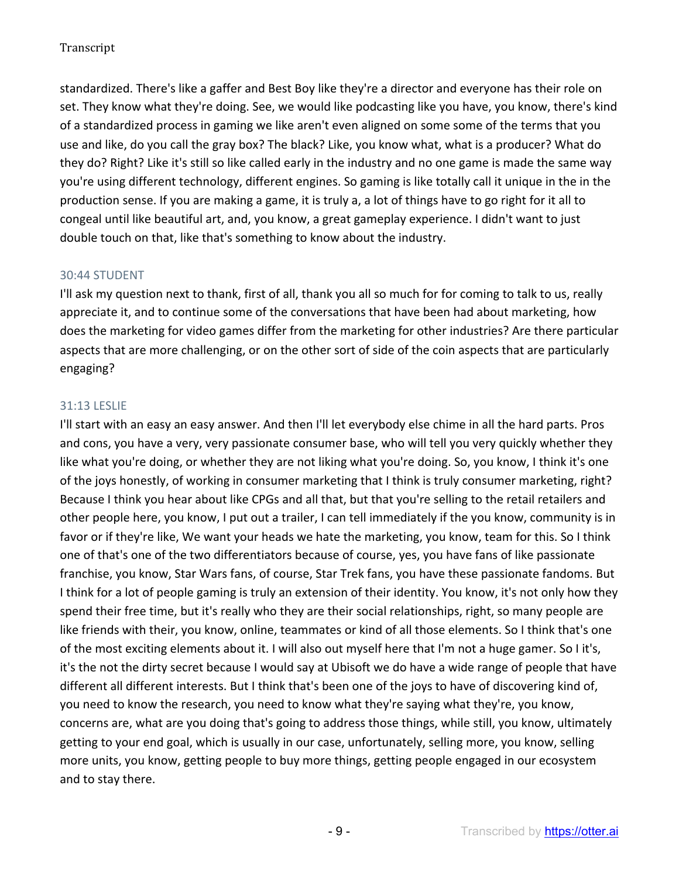standardized. There's like a gaffer and Best Boy like they're a director and everyone has their role on set. They know what they're doing. See, we would like podcasting like you have, you know, there's kind of a standardized process in gaming we like aren't even aligned on some some of the terms that you use and like, do you call the gray box? The black? Like, you know what, what is a producer? What do they do? Right? Like it's still so like called early in the industry and no one game is made the same way you're using different technology, different engines. So gaming is like totally call it unique in the in the production sense. If you are making a game, it is truly a, a lot of things have to go right for it all to congeal until like beautiful art, and, you know, a great gameplay experience. I didn't want to just double touch on that, like that's something to know about the industry.

# 30:44 STUDENT

I'll ask my question next to thank, first of all, thank you all so much for for coming to talk to us, really appreciate it, and to continue some of the conversations that have been had about marketing, how does the marketing for video games differ from the marketing for other industries? Are there particular aspects that are more challenging, or on the other sort of side of the coin aspects that are particularly engaging?

# 31:13 LESLIE

I'll start with an easy an easy answer. And then I'll let everybody else chime in all the hard parts. Pros and cons, you have a very, very passionate consumer base, who will tell you very quickly whether they like what you're doing, or whether they are not liking what you're doing. So, you know, I think it's one of the joys honestly, of working in consumer marketing that I think is truly consumer marketing, right? Because I think you hear about like CPGs and all that, but that you're selling to the retail retailers and other people here, you know, I put out a trailer, I can tell immediately if the you know, community is in favor or if they're like, We want your heads we hate the marketing, you know, team for this. So I think one of that's one of the two differentiators because of course, yes, you have fans of like passionate franchise, you know, Star Wars fans, of course, Star Trek fans, you have these passionate fandoms. But I think for a lot of people gaming is truly an extension of their identity. You know, it's not only how they spend their free time, but it's really who they are their social relationships, right, so many people are like friends with their, you know, online, teammates or kind of all those elements. So I think that's one of the most exciting elements about it. I will also out myself here that I'm not a huge gamer. So I it's, it's the not the dirty secret because I would say at Ubisoft we do have a wide range of people that have different all different interests. But I think that's been one of the joys to have of discovering kind of, you need to know the research, you need to know what they're saying what they're, you know, concerns are, what are you doing that's going to address those things, while still, you know, ultimately getting to your end goal, which is usually in our case, unfortunately, selling more, you know, selling more units, you know, getting people to buy more things, getting people engaged in our ecosystem and to stay there.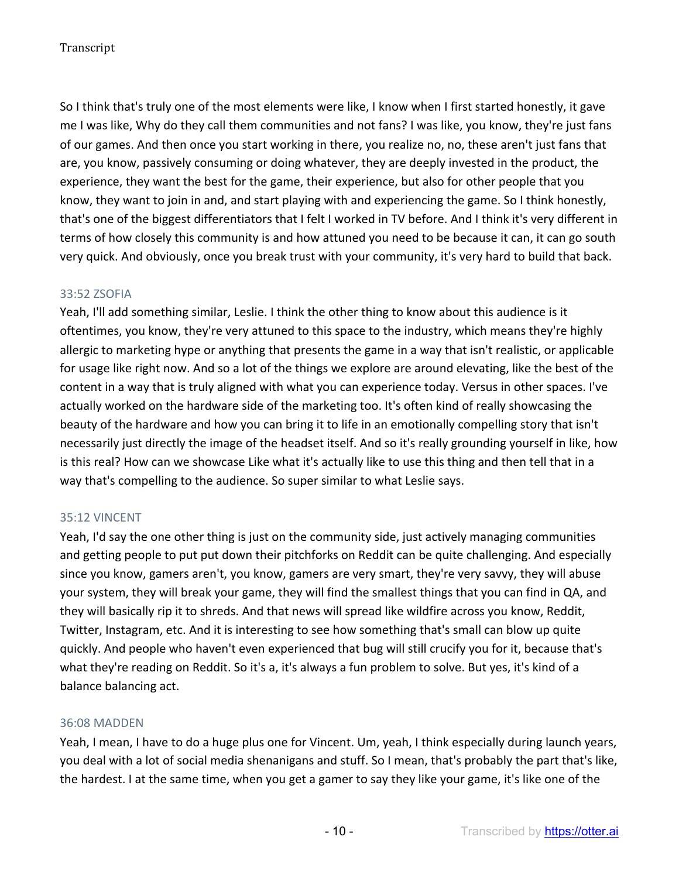So I think that's truly one of the most elements were like, I know when I first started honestly, it gave me I was like, Why do they call them communities and not fans? I was like, you know, they're just fans of our games. And then once you start working in there, you realize no, no, these aren't just fans that are, you know, passively consuming or doing whatever, they are deeply invested in the product, the experience, they want the best for the game, their experience, but also for other people that you know, they want to join in and, and start playing with and experiencing the game. So I think honestly, that's one of the biggest differentiators that I felt I worked in TV before. And I think it's very different in terms of how closely this community is and how attuned you need to be because it can, it can go south very quick. And obviously, once you break trust with your community, it's very hard to build that back.

# 33:52 ZSOFIA

Yeah, I'll add something similar, Leslie. I think the other thing to know about this audience is it oftentimes, you know, they're very attuned to this space to the industry, which means they're highly allergic to marketing hype or anything that presents the game in a way that isn't realistic, or applicable for usage like right now. And so a lot of the things we explore are around elevating, like the best of the content in a way that is truly aligned with what you can experience today. Versus in other spaces. I've actually worked on the hardware side of the marketing too. It's often kind of really showcasing the beauty of the hardware and how you can bring it to life in an emotionally compelling story that isn't necessarily just directly the image of the headset itself. And so it's really grounding yourself in like, how is this real? How can we showcase Like what it's actually like to use this thing and then tell that in a way that's compelling to the audience. So super similar to what Leslie says.

# 35:12 VINCENT

Yeah, I'd say the one other thing is just on the community side, just actively managing communities and getting people to put put down their pitchforks on Reddit can be quite challenging. And especially since you know, gamers aren't, you know, gamers are very smart, they're very savvy, they will abuse your system, they will break your game, they will find the smallest things that you can find in QA, and they will basically rip it to shreds. And that news will spread like wildfire across you know, Reddit, Twitter, Instagram, etc. And it is interesting to see how something that's small can blow up quite quickly. And people who haven't even experienced that bug will still crucify you for it, because that's what they're reading on Reddit. So it's a, it's always a fun problem to solve. But yes, it's kind of a balance balancing act.

### 36:08 MADDEN

Yeah, I mean, I have to do a huge plus one for Vincent. Um, yeah, I think especially during launch years, you deal with a lot of social media shenanigans and stuff. So I mean, that's probably the part that's like, the hardest. I at the same time, when you get a gamer to say they like your game, it's like one of the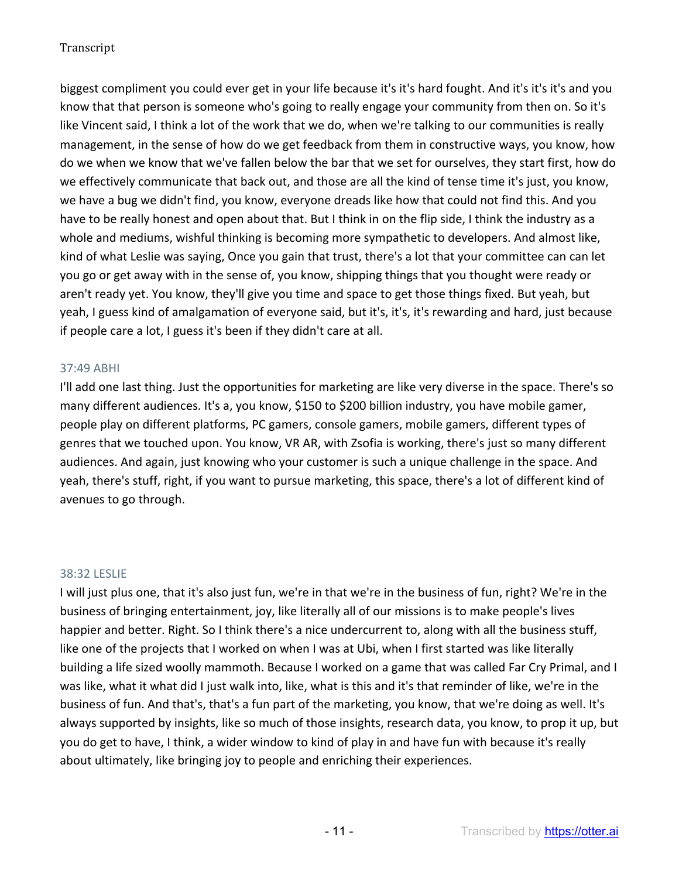biggest compliment you could ever get in your life because it's it's hard fought. And it's it's it's and you know that that person is someone who's going to really engage your community from then on. So it's like Vincent said, I think a lot of the work that we do, when we're talking to our communities is really management, in the sense of how do we get feedback from them in constructive ways, you know, how do we when we know that we've fallen below the bar that we set for ourselves, they start first, how do we effectively communicate that back out, and those are all the kind of tense time it's just, you know, we have a bug we didn't find, you know, everyone dreads like how that could not find this. And you have to be really honest and open about that. But I think in on the flip side, I think the industry as a whole and mediums, wishful thinking is becoming more sympathetic to developers. And almost like, kind of what Leslie was saying, Once you gain that trust, there's a lot that your committee can can let you go or get away with in the sense of, you know, shipping things that you thought were ready or aren't ready yet. You know, they'll give you time and space to get those things fixed. But yeah, but yeah, I guess kind of amalgamation of everyone said, but it's, it's, it's rewarding and hard, just because if people care a lot, I guess it's been if they didn't care at all.

# 37:49 ABHI

I'll add one last thing. Just the opportunities for marketing are like very diverse in the space. There's so many different audiences. It's a, you know, \$150 to \$200 billion industry, you have mobile gamer, people play on different platforms, PC gamers, console gamers, mobile gamers, different types of genres that we touched upon. You know, VR AR, with Zsofia is working, there's just so many different audiences. And again, just knowing who your customer is such a unique challenge in the space. And yeah, there's stuff, right, if you want to pursue marketing, this space, there's a lot of different kind of avenues to go through.

### 38:32 LESLIE

I will just plus one, that it's also just fun, we're in that we're in the business of fun, right? We're in the business of bringing entertainment, joy, like literally all of our missions is to make people's lives happier and better. Right. So I think there's a nice undercurrent to, along with all the business stuff, like one of the projects that I worked on when I was at Ubi, when I first started was like literally building a life sized woolly mammoth. Because I worked on a game that was called Far Cry Primal, and I was like, what it what did I just walk into, like, what is this and it's that reminder of like, we're in the business of fun. And that's, that's a fun part of the marketing, you know, that we're doing as well. It's always supported by insights, like so much of those insights, research data, you know, to prop it up, but you do get to have, I think, a wider window to kind of play in and have fun with because it's really about ultimately, like bringing joy to people and enriching their experiences.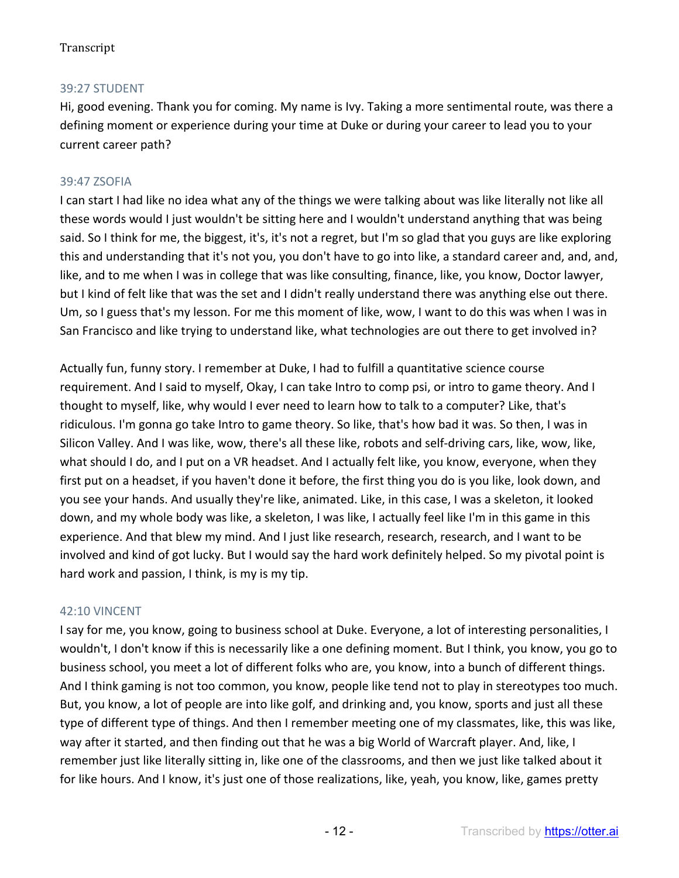# 39:27 STUDENT

Hi, good evening. Thank you for coming. My name is Ivy. Taking a more sentimental route, was there a defining moment or experience during your time at Duke or during your career to lead you to your current career path?

# 39:47 ZSOFIA

I can start I had like no idea what any of the things we were talking about was like literally not like all these words would I just wouldn't be sitting here and I wouldn't understand anything that was being said. So I think for me, the biggest, it's, it's not a regret, but I'm so glad that you guys are like exploring this and understanding that it's not you, you don't have to go into like, a standard career and, and, and, like, and to me when I was in college that was like consulting, finance, like, you know, Doctor lawyer, but I kind of felt like that was the set and I didn't really understand there was anything else out there. Um, so I guess that's my lesson. For me this moment of like, wow, I want to do this was when I was in San Francisco and like trying to understand like, what technologies are out there to get involved in?

Actually fun, funny story. I remember at Duke, I had to fulfill a quantitative science course requirement. And I said to myself, Okay, I can take Intro to comp psi, or intro to game theory. And I thought to myself, like, why would I ever need to learn how to talk to a computer? Like, that's ridiculous. I'm gonna go take Intro to game theory. So like, that's how bad it was. So then, I was in Silicon Valley. And I was like, wow, there's all these like, robots and self-driving cars, like, wow, like, what should I do, and I put on a VR headset. And I actually felt like, you know, everyone, when they first put on a headset, if you haven't done it before, the first thing you do is you like, look down, and you see your hands. And usually they're like, animated. Like, in this case, I was a skeleton, it looked down, and my whole body was like, a skeleton, I was like, I actually feel like I'm in this game in this experience. And that blew my mind. And I just like research, research, research, and I want to be involved and kind of got lucky. But I would say the hard work definitely helped. So my pivotal point is hard work and passion, I think, is my is my tip.

### 42:10 VINCENT

I say for me, you know, going to business school at Duke. Everyone, a lot of interesting personalities, I wouldn't, I don't know if this is necessarily like a one defining moment. But I think, you know, you go to business school, you meet a lot of different folks who are, you know, into a bunch of different things. And I think gaming is not too common, you know, people like tend not to play in stereotypes too much. But, you know, a lot of people are into like golf, and drinking and, you know, sports and just all these type of different type of things. And then I remember meeting one of my classmates, like, this was like, way after it started, and then finding out that he was a big World of Warcraft player. And, like, I remember just like literally sitting in, like one of the classrooms, and then we just like talked about it for like hours. And I know, it's just one of those realizations, like, yeah, you know, like, games pretty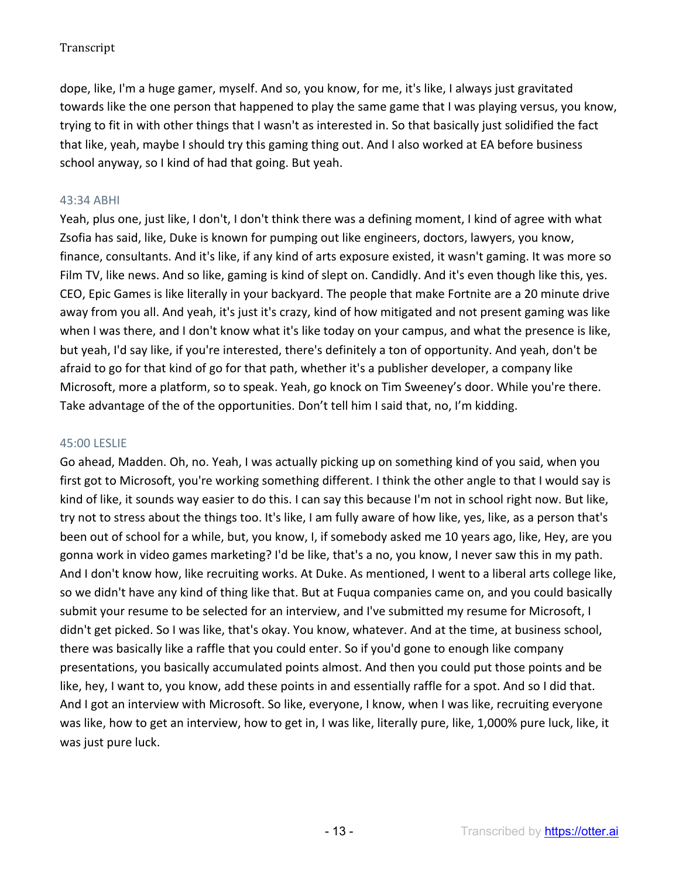dope, like, I'm a huge gamer, myself. And so, you know, for me, it's like, I always just gravitated towards like the one person that happened to play the same game that I was playing versus, you know, trying to fit in with other things that I wasn't as interested in. So that basically just solidified the fact that like, yeah, maybe I should try this gaming thing out. And I also worked at EA before business school anyway, so I kind of had that going. But yeah.

# 43:34 ABHI

Yeah, plus one, just like, I don't, I don't think there was a defining moment, I kind of agree with what Zsofia has said, like, Duke is known for pumping out like engineers, doctors, lawyers, you know, finance, consultants. And it's like, if any kind of arts exposure existed, it wasn't gaming. It was more so Film TV, like news. And so like, gaming is kind of slept on. Candidly. And it's even though like this, yes. CEO, Epic Games is like literally in your backyard. The people that make Fortnite are a 20 minute drive away from you all. And yeah, it's just it's crazy, kind of how mitigated and not present gaming was like when I was there, and I don't know what it's like today on your campus, and what the presence is like, but yeah, I'd say like, if you're interested, there's definitely a ton of opportunity. And yeah, don't be afraid to go for that kind of go for that path, whether it's a publisher developer, a company like Microsoft, more a platform, so to speak. Yeah, go knock on Tim Sweeney's door. While you're there. Take advantage of the of the opportunities. Don't tell him I said that, no, I'm kidding.

### 45:00 LESLIE

Go ahead, Madden. Oh, no. Yeah, I was actually picking up on something kind of you said, when you first got to Microsoft, you're working something different. I think the other angle to that I would say is kind of like, it sounds way easier to do this. I can say this because I'm not in school right now. But like, try not to stress about the things too. It's like, I am fully aware of how like, yes, like, as a person that's been out of school for a while, but, you know, I, if somebody asked me 10 years ago, like, Hey, are you gonna work in video games marketing? I'd be like, that's a no, you know, I never saw this in my path. And I don't know how, like recruiting works. At Duke. As mentioned, I went to a liberal arts college like, so we didn't have any kind of thing like that. But at Fuqua companies came on, and you could basically submit your resume to be selected for an interview, and I've submitted my resume for Microsoft, I didn't get picked. So I was like, that's okay. You know, whatever. And at the time, at business school, there was basically like a raffle that you could enter. So if you'd gone to enough like company presentations, you basically accumulated points almost. And then you could put those points and be like, hey, I want to, you know, add these points in and essentially raffle for a spot. And so I did that. And I got an interview with Microsoft. So like, everyone, I know, when I was like, recruiting everyone was like, how to get an interview, how to get in, I was like, literally pure, like, 1,000% pure luck, like, it was just pure luck.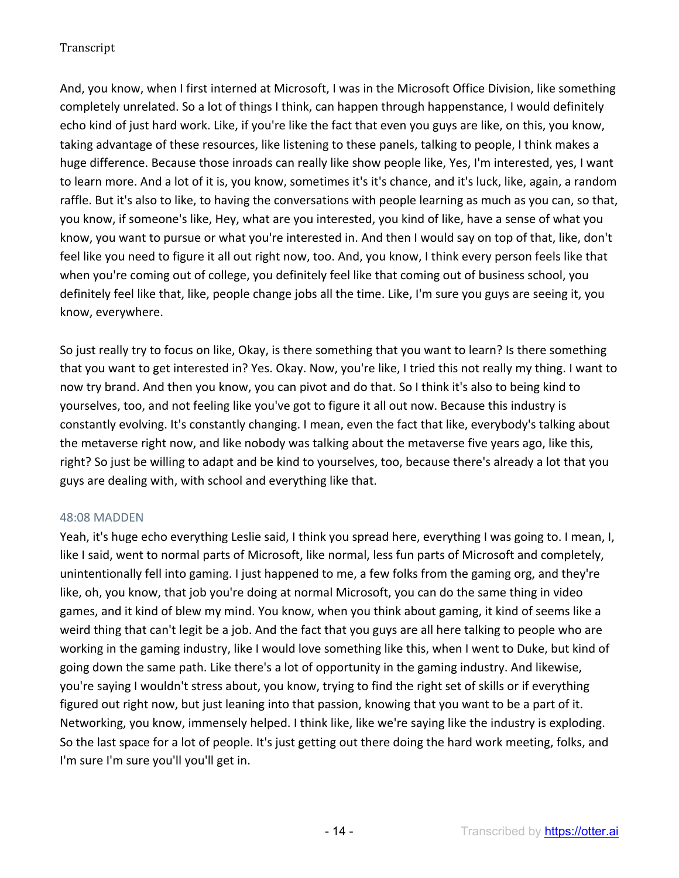And, you know, when I first interned at Microsoft, I was in the Microsoft Office Division, like something completely unrelated. So a lot of things I think, can happen through happenstance, I would definitely echo kind of just hard work. Like, if you're like the fact that even you guys are like, on this, you know, taking advantage of these resources, like listening to these panels, talking to people, I think makes a huge difference. Because those inroads can really like show people like, Yes, I'm interested, yes, I want to learn more. And a lot of it is, you know, sometimes it's it's chance, and it's luck, like, again, a random raffle. But it's also to like, to having the conversations with people learning as much as you can, so that, you know, if someone's like, Hey, what are you interested, you kind of like, have a sense of what you know, you want to pursue or what you're interested in. And then I would say on top of that, like, don't feel like you need to figure it all out right now, too. And, you know, I think every person feels like that when you're coming out of college, you definitely feel like that coming out of business school, you definitely feel like that, like, people change jobs all the time. Like, I'm sure you guys are seeing it, you know, everywhere.

So just really try to focus on like, Okay, is there something that you want to learn? Is there something that you want to get interested in? Yes. Okay. Now, you're like, I tried this not really my thing. I want to now try brand. And then you know, you can pivot and do that. So I think it's also to being kind to yourselves, too, and not feeling like you've got to figure it all out now. Because this industry is constantly evolving. It's constantly changing. I mean, even the fact that like, everybody's talking about the metaverse right now, and like nobody was talking about the metaverse five years ago, like this, right? So just be willing to adapt and be kind to yourselves, too, because there's already a lot that you guys are dealing with, with school and everything like that.

### 48:08 MADDEN

Yeah, it's huge echo everything Leslie said, I think you spread here, everything I was going to. I mean, I, like I said, went to normal parts of Microsoft, like normal, less fun parts of Microsoft and completely, unintentionally fell into gaming. I just happened to me, a few folks from the gaming org, and they're like, oh, you know, that job you're doing at normal Microsoft, you can do the same thing in video games, and it kind of blew my mind. You know, when you think about gaming, it kind of seems like a weird thing that can't legit be a job. And the fact that you guys are all here talking to people who are working in the gaming industry, like I would love something like this, when I went to Duke, but kind of going down the same path. Like there's a lot of opportunity in the gaming industry. And likewise, you're saying I wouldn't stress about, you know, trying to find the right set of skills or if everything figured out right now, but just leaning into that passion, knowing that you want to be a part of it. Networking, you know, immensely helped. I think like, like we're saying like the industry is exploding. So the last space for a lot of people. It's just getting out there doing the hard work meeting, folks, and I'm sure I'm sure you'll you'll get in.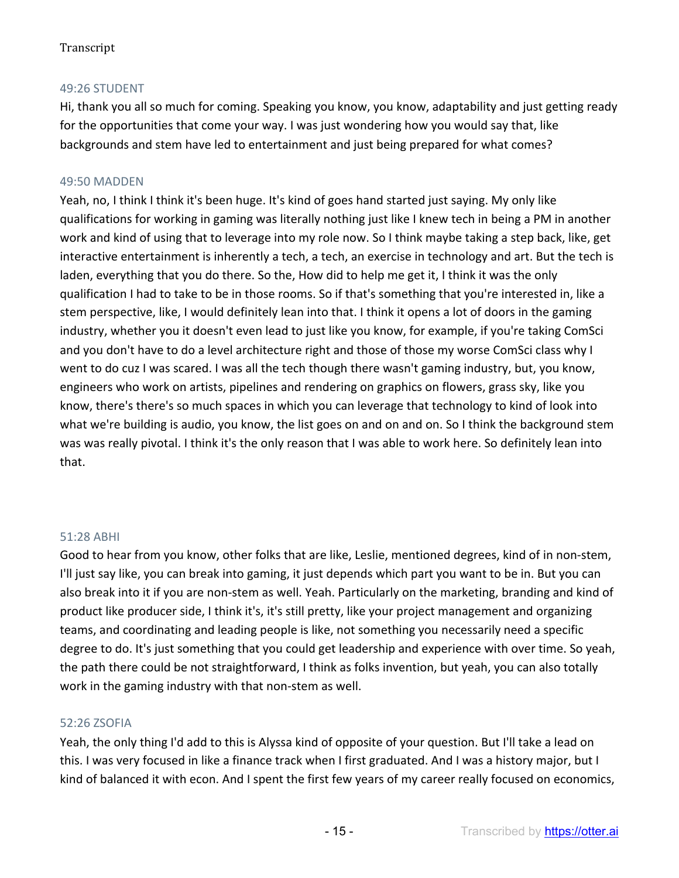## 49:26 STUDENT

Hi, thank you all so much for coming. Speaking you know, you know, adaptability and just getting ready for the opportunities that come your way. I was just wondering how you would say that, like backgrounds and stem have led to entertainment and just being prepared for what comes?

### 49:50 MADDEN

Yeah, no, I think I think it's been huge. It's kind of goes hand started just saying. My only like qualifications for working in gaming was literally nothing just like I knew tech in being a PM in another work and kind of using that to leverage into my role now. So I think maybe taking a step back, like, get interactive entertainment is inherently a tech, a tech, an exercise in technology and art. But the tech is laden, everything that you do there. So the, How did to help me get it, I think it was the only qualification I had to take to be in those rooms. So if that's something that you're interested in, like a stem perspective, like, I would definitely lean into that. I think it opens a lot of doors in the gaming industry, whether you it doesn't even lead to just like you know, for example, if you're taking ComSci and you don't have to do a level architecture right and those of those my worse ComSci class why I went to do cuz I was scared. I was all the tech though there wasn't gaming industry, but, you know, engineers who work on artists, pipelines and rendering on graphics on flowers, grass sky, like you know, there's there's so much spaces in which you can leverage that technology to kind of look into what we're building is audio, you know, the list goes on and on and on. So I think the background stem was was really pivotal. I think it's the only reason that I was able to work here. So definitely lean into that.

### 51:28 ABHI

Good to hear from you know, other folks that are like, Leslie, mentioned degrees, kind of in non-stem, I'll just say like, you can break into gaming, it just depends which part you want to be in. But you can also break into it if you are non-stem as well. Yeah. Particularly on the marketing, branding and kind of product like producer side, I think it's, it's still pretty, like your project management and organizing teams, and coordinating and leading people is like, not something you necessarily need a specific degree to do. It's just something that you could get leadership and experience with over time. So yeah, the path there could be not straightforward, I think as folks invention, but yeah, you can also totally work in the gaming industry with that non-stem as well.

### 52:26 ZSOFIA

Yeah, the only thing I'd add to this is Alyssa kind of opposite of your question. But I'll take a lead on this. I was very focused in like a finance track when I first graduated. And I was a history major, but I kind of balanced it with econ. And I spent the first few years of my career really focused on economics,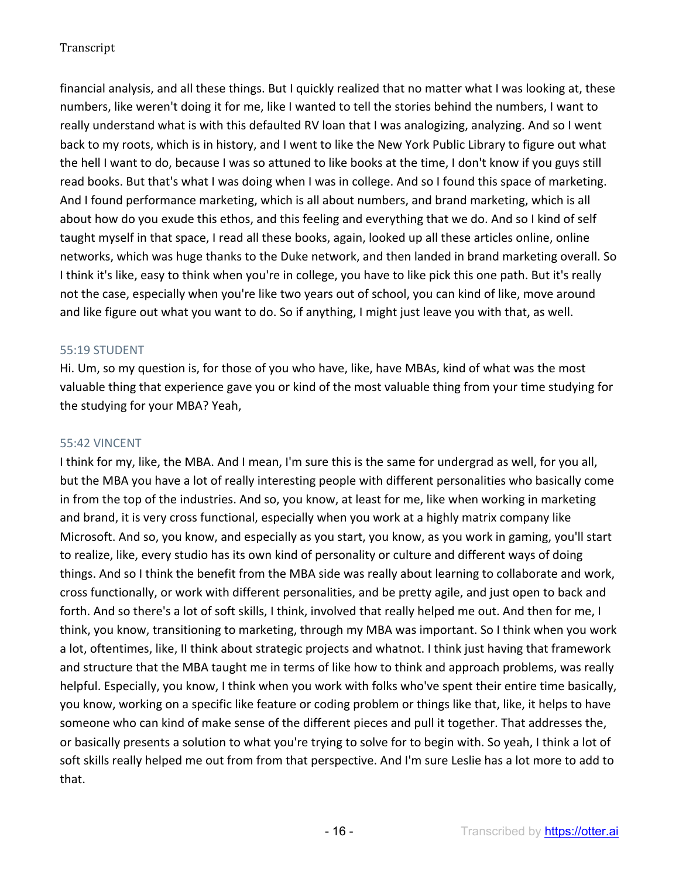financial analysis, and all these things. But I quickly realized that no matter what I was looking at, these numbers, like weren't doing it for me, like I wanted to tell the stories behind the numbers, I want to really understand what is with this defaulted RV loan that I was analogizing, analyzing. And so I went back to my roots, which is in history, and I went to like the New York Public Library to figure out what the hell I want to do, because I was so attuned to like books at the time, I don't know if you guys still read books. But that's what I was doing when I was in college. And so I found this space of marketing. And I found performance marketing, which is all about numbers, and brand marketing, which is all about how do you exude this ethos, and this feeling and everything that we do. And so I kind of self taught myself in that space, I read all these books, again, looked up all these articles online, online networks, which was huge thanks to the Duke network, and then landed in brand marketing overall. So I think it's like, easy to think when you're in college, you have to like pick this one path. But it's really not the case, especially when you're like two years out of school, you can kind of like, move around and like figure out what you want to do. So if anything, I might just leave you with that, as well.

# 55:19 STUDENT

Hi. Um, so my question is, for those of you who have, like, have MBAs, kind of what was the most valuable thing that experience gave you or kind of the most valuable thing from your time studying for the studying for your MBA? Yeah,

### 55:42 VINCENT

I think for my, like, the MBA. And I mean, I'm sure this is the same for undergrad as well, for you all, but the MBA you have a lot of really interesting people with different personalities who basically come in from the top of the industries. And so, you know, at least for me, like when working in marketing and brand, it is very cross functional, especially when you work at a highly matrix company like Microsoft. And so, you know, and especially as you start, you know, as you work in gaming, you'll start to realize, like, every studio has its own kind of personality or culture and different ways of doing things. And so I think the benefit from the MBA side was really about learning to collaborate and work, cross functionally, or work with different personalities, and be pretty agile, and just open to back and forth. And so there's a lot of soft skills, I think, involved that really helped me out. And then for me, I think, you know, transitioning to marketing, through my MBA was important. So I think when you work a lot, oftentimes, like, II think about strategic projects and whatnot. I think just having that framework and structure that the MBA taught me in terms of like how to think and approach problems, was really helpful. Especially, you know, I think when you work with folks who've spent their entire time basically, you know, working on a specific like feature or coding problem or things like that, like, it helps to have someone who can kind of make sense of the different pieces and pull it together. That addresses the, or basically presents a solution to what you're trying to solve for to begin with. So yeah, I think a lot of soft skills really helped me out from from that perspective. And I'm sure Leslie has a lot more to add to that.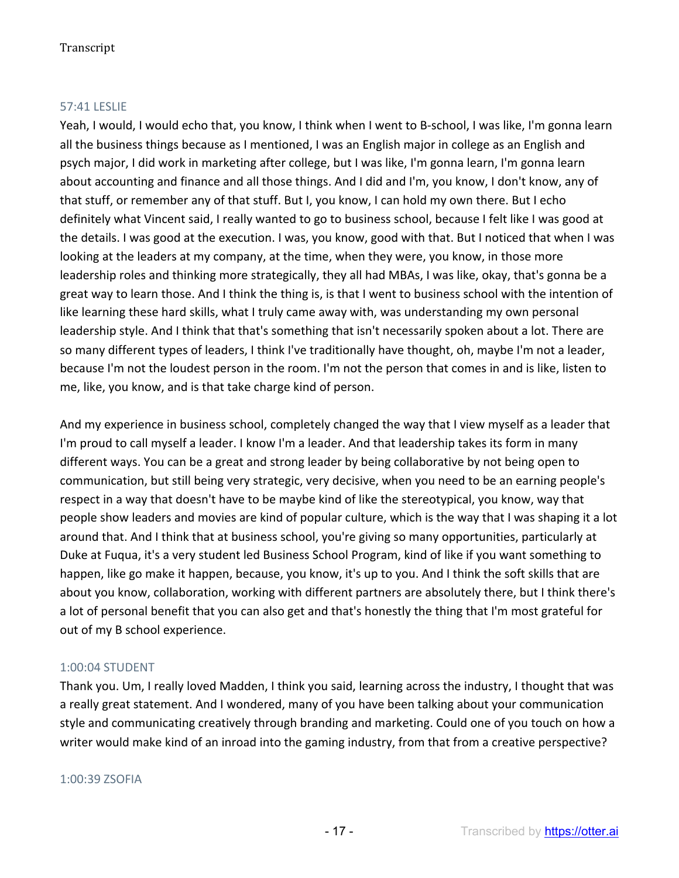# 57:41 LESLIE

Yeah, I would, I would echo that, you know, I think when I went to B-school, I was like, I'm gonna learn all the business things because as I mentioned, I was an English major in college as an English and psych major, I did work in marketing after college, but I was like, I'm gonna learn, I'm gonna learn about accounting and finance and all those things. And I did and I'm, you know, I don't know, any of that stuff, or remember any of that stuff. But I, you know, I can hold my own there. But I echo definitely what Vincent said, I really wanted to go to business school, because I felt like I was good at the details. I was good at the execution. I was, you know, good with that. But I noticed that when I was looking at the leaders at my company, at the time, when they were, you know, in those more leadership roles and thinking more strategically, they all had MBAs, I was like, okay, that's gonna be a great way to learn those. And I think the thing is, is that I went to business school with the intention of like learning these hard skills, what I truly came away with, was understanding my own personal leadership style. And I think that that's something that isn't necessarily spoken about a lot. There are so many different types of leaders, I think I've traditionally have thought, oh, maybe I'm not a leader, because I'm not the loudest person in the room. I'm not the person that comes in and is like, listen to me, like, you know, and is that take charge kind of person.

And my experience in business school, completely changed the way that I view myself as a leader that I'm proud to call myself a leader. I know I'm a leader. And that leadership takes its form in many different ways. You can be a great and strong leader by being collaborative by not being open to communication, but still being very strategic, very decisive, when you need to be an earning people's respect in a way that doesn't have to be maybe kind of like the stereotypical, you know, way that people show leaders and movies are kind of popular culture, which is the way that I was shaping it a lot around that. And I think that at business school, you're giving so many opportunities, particularly at Duke at Fuqua, it's a very student led Business School Program, kind of like if you want something to happen, like go make it happen, because, you know, it's up to you. And I think the soft skills that are about you know, collaboration, working with different partners are absolutely there, but I think there's a lot of personal benefit that you can also get and that's honestly the thing that I'm most grateful for out of my B school experience.

### 1:00:04 STUDENT

Thank you. Um, I really loved Madden, I think you said, learning across the industry, I thought that was a really great statement. And I wondered, many of you have been talking about your communication style and communicating creatively through branding and marketing. Could one of you touch on how a writer would make kind of an inroad into the gaming industry, from that from a creative perspective?

### 1:00:39 ZSOFIA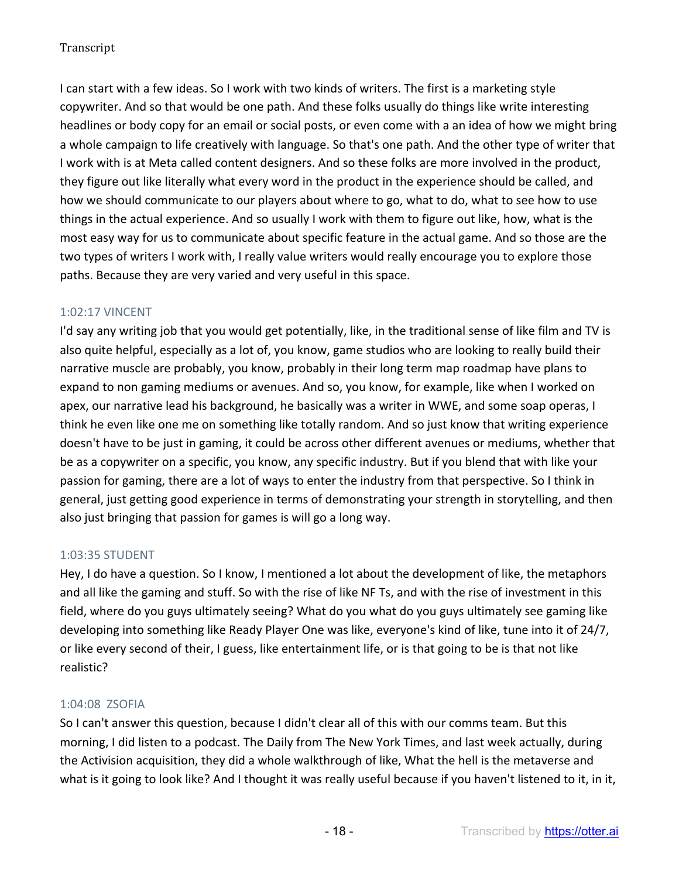I can start with a few ideas. So I work with two kinds of writers. The first is a marketing style copywriter. And so that would be one path. And these folks usually do things like write interesting headlines or body copy for an email or social posts, or even come with a an idea of how we might bring a whole campaign to life creatively with language. So that's one path. And the other type of writer that I work with is at Meta called content designers. And so these folks are more involved in the product, they figure out like literally what every word in the product in the experience should be called, and how we should communicate to our players about where to go, what to do, what to see how to use things in the actual experience. And so usually I work with them to figure out like, how, what is the most easy way for us to communicate about specific feature in the actual game. And so those are the two types of writers I work with, I really value writers would really encourage you to explore those paths. Because they are very varied and very useful in this space.

# 1:02:17 VINCENT

I'd say any writing job that you would get potentially, like, in the traditional sense of like film and TV is also quite helpful, especially as a lot of, you know, game studios who are looking to really build their narrative muscle are probably, you know, probably in their long term map roadmap have plans to expand to non gaming mediums or avenues. And so, you know, for example, like when I worked on apex, our narrative lead his background, he basically was a writer in WWE, and some soap operas, I think he even like one me on something like totally random. And so just know that writing experience doesn't have to be just in gaming, it could be across other different avenues or mediums, whether that be as a copywriter on a specific, you know, any specific industry. But if you blend that with like your passion for gaming, there are a lot of ways to enter the industry from that perspective. So I think in general, just getting good experience in terms of demonstrating your strength in storytelling, and then also just bringing that passion for games is will go a long way.

# 1:03:35 STUDENT

Hey, I do have a question. So I know, I mentioned a lot about the development of like, the metaphors and all like the gaming and stuff. So with the rise of like NF Ts, and with the rise of investment in this field, where do you guys ultimately seeing? What do you what do you guys ultimately see gaming like developing into something like Ready Player One was like, everyone's kind of like, tune into it of 24/7, or like every second of their, I guess, like entertainment life, or is that going to be is that not like realistic?

### 1:04:08 ZSOFIA

So I can't answer this question, because I didn't clear all of this with our comms team. But this morning, I did listen to a podcast. The Daily from The New York Times, and last week actually, during the Activision acquisition, they did a whole walkthrough of like, What the hell is the metaverse and what is it going to look like? And I thought it was really useful because if you haven't listened to it, in it,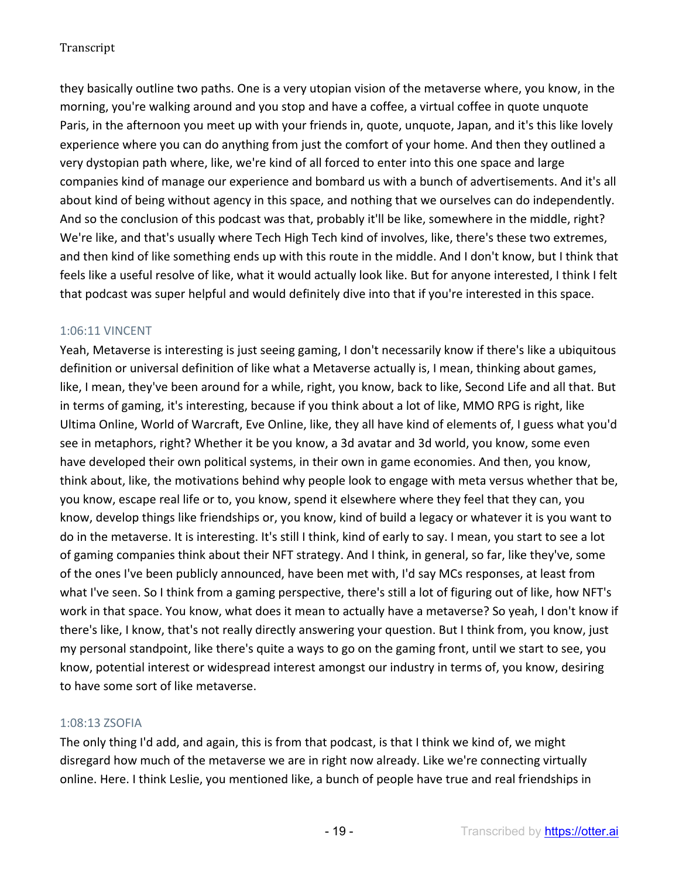they basically outline two paths. One is a very utopian vision of the metaverse where, you know, in the morning, you're walking around and you stop and have a coffee, a virtual coffee in quote unquote Paris, in the afternoon you meet up with your friends in, quote, unquote, Japan, and it's this like lovely experience where you can do anything from just the comfort of your home. And then they outlined a very dystopian path where, like, we're kind of all forced to enter into this one space and large companies kind of manage our experience and bombard us with a bunch of advertisements. And it's all about kind of being without agency in this space, and nothing that we ourselves can do independently. And so the conclusion of this podcast was that, probably it'll be like, somewhere in the middle, right? We're like, and that's usually where Tech High Tech kind of involves, like, there's these two extremes, and then kind of like something ends up with this route in the middle. And I don't know, but I think that feels like a useful resolve of like, what it would actually look like. But for anyone interested, I think I felt that podcast was super helpful and would definitely dive into that if you're interested in this space.

### 1:06:11 VINCENT

Yeah, Metaverse is interesting is just seeing gaming, I don't necessarily know if there's like a ubiquitous definition or universal definition of like what a Metaverse actually is, I mean, thinking about games, like, I mean, they've been around for a while, right, you know, back to like, Second Life and all that. But in terms of gaming, it's interesting, because if you think about a lot of like, MMO RPG is right, like Ultima Online, World of Warcraft, Eve Online, like, they all have kind of elements of, I guess what you'd see in metaphors, right? Whether it be you know, a 3d avatar and 3d world, you know, some even have developed their own political systems, in their own in game economies. And then, you know, think about, like, the motivations behind why people look to engage with meta versus whether that be, you know, escape real life or to, you know, spend it elsewhere where they feel that they can, you know, develop things like friendships or, you know, kind of build a legacy or whatever it is you want to do in the metaverse. It is interesting. It's still I think, kind of early to say. I mean, you start to see a lot of gaming companies think about their NFT strategy. And I think, in general, so far, like they've, some of the ones I've been publicly announced, have been met with, I'd say MCs responses, at least from what I've seen. So I think from a gaming perspective, there's still a lot of figuring out of like, how NFT's work in that space. You know, what does it mean to actually have a metaverse? So yeah, I don't know if there's like, I know, that's not really directly answering your question. But I think from, you know, just my personal standpoint, like there's quite a ways to go on the gaming front, until we start to see, you know, potential interest or widespread interest amongst our industry in terms of, you know, desiring to have some sort of like metaverse.

### 1:08:13 ZSOFIA

The only thing I'd add, and again, this is from that podcast, is that I think we kind of, we might disregard how much of the metaverse we are in right now already. Like we're connecting virtually online. Here. I think Leslie, you mentioned like, a bunch of people have true and real friendships in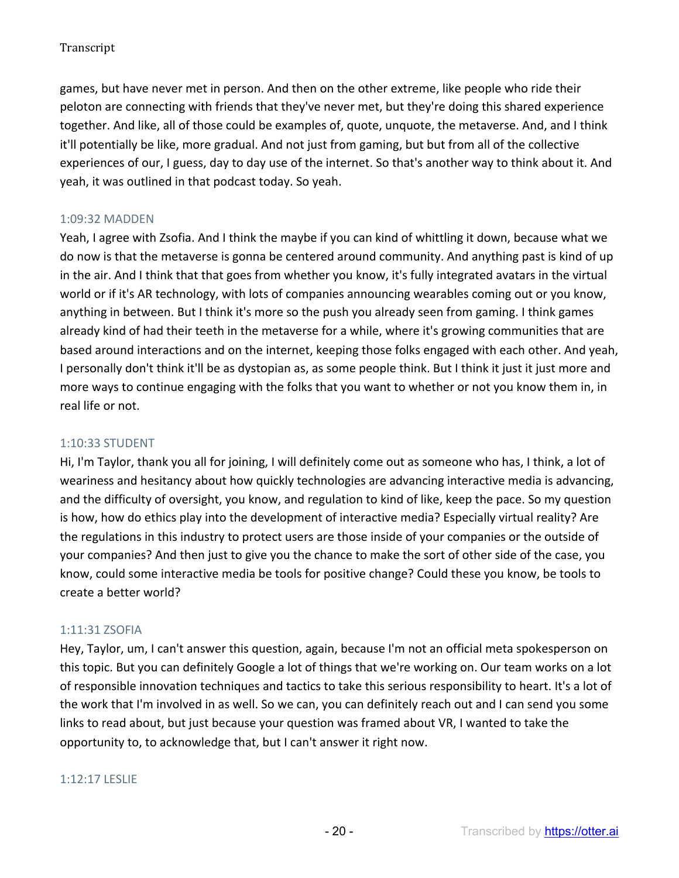games, but have never met in person. And then on the other extreme, like people who ride their peloton are connecting with friends that they've never met, but they're doing this shared experience together. And like, all of those could be examples of, quote, unquote, the metaverse. And, and I think it'll potentially be like, more gradual. And not just from gaming, but but from all of the collective experiences of our, I guess, day to day use of the internet. So that's another way to think about it. And yeah, it was outlined in that podcast today. So yeah.

# 1:09:32 MADDEN

Yeah, I agree with Zsofia. And I think the maybe if you can kind of whittling it down, because what we do now is that the metaverse is gonna be centered around community. And anything past is kind of up in the air. And I think that that goes from whether you know, it's fully integrated avatars in the virtual world or if it's AR technology, with lots of companies announcing wearables coming out or you know, anything in between. But I think it's more so the push you already seen from gaming. I think games already kind of had their teeth in the metaverse for a while, where it's growing communities that are based around interactions and on the internet, keeping those folks engaged with each other. And yeah, I personally don't think it'll be as dystopian as, as some people think. But I think it just it just more and more ways to continue engaging with the folks that you want to whether or not you know them in, in real life or not.

### 1:10:33 STUDENT

Hi, I'm Taylor, thank you all for joining, I will definitely come out as someone who has, I think, a lot of weariness and hesitancy about how quickly technologies are advancing interactive media is advancing, and the difficulty of oversight, you know, and regulation to kind of like, keep the pace. So my question is how, how do ethics play into the development of interactive media? Especially virtual reality? Are the regulations in this industry to protect users are those inside of your companies or the outside of your companies? And then just to give you the chance to make the sort of other side of the case, you know, could some interactive media be tools for positive change? Could these you know, be tools to create a better world?

### 1:11:31 ZSOFIA

Hey, Taylor, um, I can't answer this question, again, because I'm not an official meta spokesperson on this topic. But you can definitely Google a lot of things that we're working on. Our team works on a lot of responsible innovation techniques and tactics to take this serious responsibility to heart. It's a lot of the work that I'm involved in as well. So we can, you can definitely reach out and I can send you some links to read about, but just because your question was framed about VR, I wanted to take the opportunity to, to acknowledge that, but I can't answer it right now.

### 1:12:17 LESLIE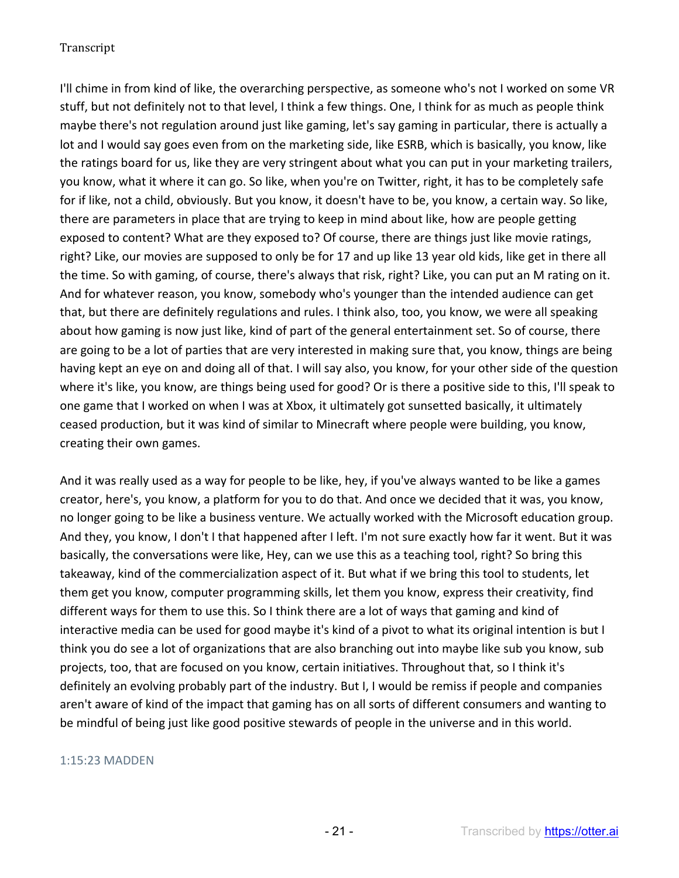I'll chime in from kind of like, the overarching perspective, as someone who's not I worked on some VR stuff, but not definitely not to that level, I think a few things. One, I think for as much as people think maybe there's not regulation around just like gaming, let's say gaming in particular, there is actually a lot and I would say goes even from on the marketing side, like ESRB, which is basically, you know, like the ratings board for us, like they are very stringent about what you can put in your marketing trailers, you know, what it where it can go. So like, when you're on Twitter, right, it has to be completely safe for if like, not a child, obviously. But you know, it doesn't have to be, you know, a certain way. So like, there are parameters in place that are trying to keep in mind about like, how are people getting exposed to content? What are they exposed to? Of course, there are things just like movie ratings, right? Like, our movies are supposed to only be for 17 and up like 13 year old kids, like get in there all the time. So with gaming, of course, there's always that risk, right? Like, you can put an M rating on it. And for whatever reason, you know, somebody who's younger than the intended audience can get that, but there are definitely regulations and rules. I think also, too, you know, we were all speaking about how gaming is now just like, kind of part of the general entertainment set. So of course, there are going to be a lot of parties that are very interested in making sure that, you know, things are being having kept an eye on and doing all of that. I will say also, you know, for your other side of the question where it's like, you know, are things being used for good? Or is there a positive side to this, I'll speak to one game that I worked on when I was at Xbox, it ultimately got sunsetted basically, it ultimately ceased production, but it was kind of similar to Minecraft where people were building, you know, creating their own games.

And it was really used as a way for people to be like, hey, if you've always wanted to be like a games creator, here's, you know, a platform for you to do that. And once we decided that it was, you know, no longer going to be like a business venture. We actually worked with the Microsoft education group. And they, you know, I don't I that happened after I left. I'm not sure exactly how far it went. But it was basically, the conversations were like, Hey, can we use this as a teaching tool, right? So bring this takeaway, kind of the commercialization aspect of it. But what if we bring this tool to students, let them get you know, computer programming skills, let them you know, express their creativity, find different ways for them to use this. So I think there are a lot of ways that gaming and kind of interactive media can be used for good maybe it's kind of a pivot to what its original intention is but I think you do see a lot of organizations that are also branching out into maybe like sub you know, sub projects, too, that are focused on you know, certain initiatives. Throughout that, so I think it's definitely an evolving probably part of the industry. But I, I would be remiss if people and companies aren't aware of kind of the impact that gaming has on all sorts of different consumers and wanting to be mindful of being just like good positive stewards of people in the universe and in this world.

### 1:15:23 MADDEN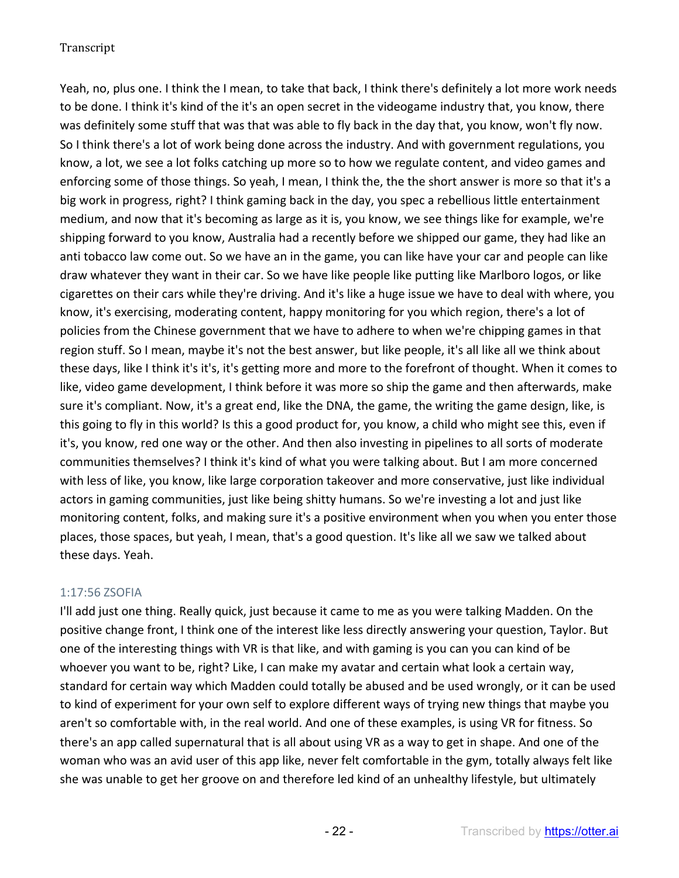Yeah, no, plus one. I think the I mean, to take that back, I think there's definitely a lot more work needs to be done. I think it's kind of the it's an open secret in the videogame industry that, you know, there was definitely some stuff that was that was able to fly back in the day that, you know, won't fly now. So I think there's a lot of work being done across the industry. And with government regulations, you know, a lot, we see a lot folks catching up more so to how we regulate content, and video games and enforcing some of those things. So yeah, I mean, I think the, the the short answer is more so that it's a big work in progress, right? I think gaming back in the day, you spec a rebellious little entertainment medium, and now that it's becoming as large as it is, you know, we see things like for example, we're shipping forward to you know, Australia had a recently before we shipped our game, they had like an anti tobacco law come out. So we have an in the game, you can like have your car and people can like draw whatever they want in their car. So we have like people like putting like Marlboro logos, or like cigarettes on their cars while they're driving. And it's like a huge issue we have to deal with where, you know, it's exercising, moderating content, happy monitoring for you which region, there's a lot of policies from the Chinese government that we have to adhere to when we're chipping games in that region stuff. So I mean, maybe it's not the best answer, but like people, it's all like all we think about these days, like I think it's it's, it's getting more and more to the forefront of thought. When it comes to like, video game development, I think before it was more so ship the game and then afterwards, make sure it's compliant. Now, it's a great end, like the DNA, the game, the writing the game design, like, is this going to fly in this world? Is this a good product for, you know, a child who might see this, even if it's, you know, red one way or the other. And then also investing in pipelines to all sorts of moderate communities themselves? I think it's kind of what you were talking about. But I am more concerned with less of like, you know, like large corporation takeover and more conservative, just like individual actors in gaming communities, just like being shitty humans. So we're investing a lot and just like monitoring content, folks, and making sure it's a positive environment when you when you enter those places, those spaces, but yeah, I mean, that's a good question. It's like all we saw we talked about these days. Yeah.

### 1:17:56 ZSOFIA

I'll add just one thing. Really quick, just because it came to me as you were talking Madden. On the positive change front, I think one of the interest like less directly answering your question, Taylor. But one of the interesting things with VR is that like, and with gaming is you can you can kind of be whoever you want to be, right? Like, I can make my avatar and certain what look a certain way, standard for certain way which Madden could totally be abused and be used wrongly, or it can be used to kind of experiment for your own self to explore different ways of trying new things that maybe you aren't so comfortable with, in the real world. And one of these examples, is using VR for fitness. So there's an app called supernatural that is all about using VR as a way to get in shape. And one of the woman who was an avid user of this app like, never felt comfortable in the gym, totally always felt like she was unable to get her groove on and therefore led kind of an unhealthy lifestyle, but ultimately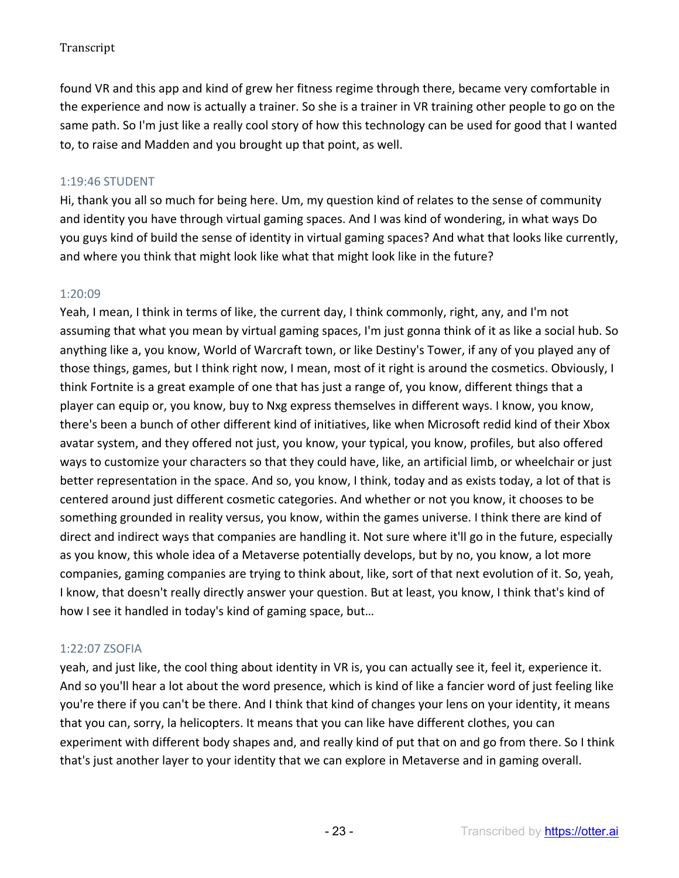found VR and this app and kind of grew her fitness regime through there, became very comfortable in the experience and now is actually a trainer. So she is a trainer in VR training other people to go on the same path. So I'm just like a really cool story of how this technology can be used for good that I wanted to, to raise and Madden and you brought up that point, as well.

# 1:19:46 STUDENT

Hi, thank you all so much for being here. Um, my question kind of relates to the sense of community and identity you have through virtual gaming spaces. And I was kind of wondering, in what ways Do you guys kind of build the sense of identity in virtual gaming spaces? And what that looks like currently, and where you think that might look like what that might look like in the future?

# 1:20:09

Yeah, I mean, I think in terms of like, the current day, I think commonly, right, any, and I'm not assuming that what you mean by virtual gaming spaces, I'm just gonna think of it as like a social hub. So anything like a, you know, World of Warcraft town, or like Destiny's Tower, if any of you played any of those things, games, but I think right now, I mean, most of it right is around the cosmetics. Obviously, I think Fortnite is a great example of one that has just a range of, you know, different things that a player can equip or, you know, buy to Nxg express themselves in different ways. I know, you know, there's been a bunch of other different kind of initiatives, like when Microsoft redid kind of their Xbox avatar system, and they offered not just, you know, your typical, you know, profiles, but also offered ways to customize your characters so that they could have, like, an artificial limb, or wheelchair or just better representation in the space. And so, you know, I think, today and as exists today, a lot of that is centered around just different cosmetic categories. And whether or not you know, it chooses to be something grounded in reality versus, you know, within the games universe. I think there are kind of direct and indirect ways that companies are handling it. Not sure where it'll go in the future, especially as you know, this whole idea of a Metaverse potentially develops, but by no, you know, a lot more companies, gaming companies are trying to think about, like, sort of that next evolution of it. So, yeah, I know, that doesn't really directly answer your question. But at least, you know, I think that's kind of how I see it handled in today's kind of gaming space, but…

### 1:22:07 ZSOFIA

yeah, and just like, the cool thing about identity in VR is, you can actually see it, feel it, experience it. And so you'll hear a lot about the word presence, which is kind of like a fancier word of just feeling like you're there if you can't be there. And I think that kind of changes your lens on your identity, it means that you can, sorry, la helicopters. It means that you can like have different clothes, you can experiment with different body shapes and, and really kind of put that on and go from there. So I think that's just another layer to your identity that we can explore in Metaverse and in gaming overall.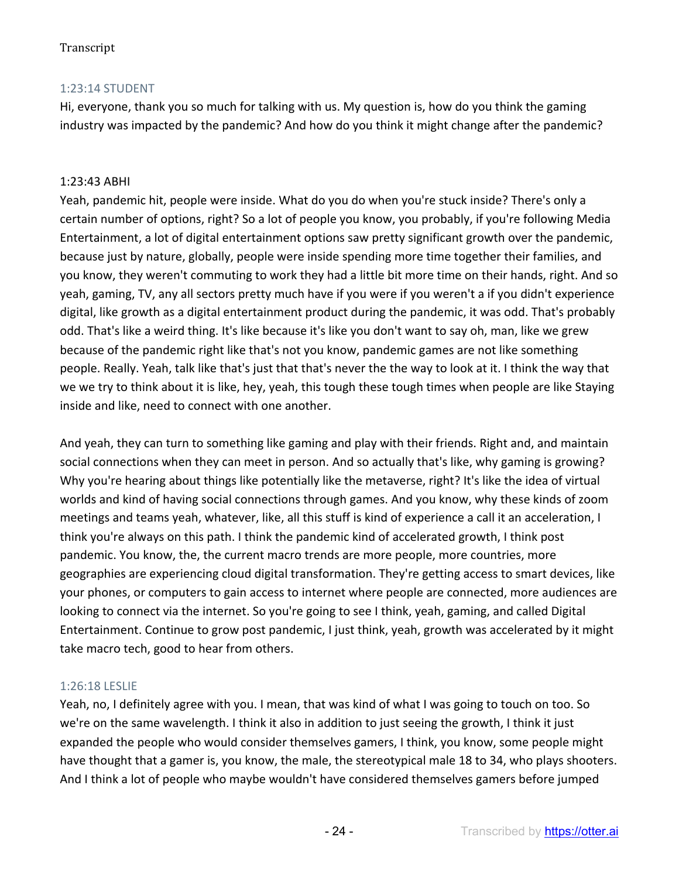# 1:23:14 STUDENT

Hi, everyone, thank you so much for talking with us. My question is, how do you think the gaming industry was impacted by the pandemic? And how do you think it might change after the pandemic?

### 1:23:43 ABHI

Yeah, pandemic hit, people were inside. What do you do when you're stuck inside? There's only a certain number of options, right? So a lot of people you know, you probably, if you're following Media Entertainment, a lot of digital entertainment options saw pretty significant growth over the pandemic, because just by nature, globally, people were inside spending more time together their families, and you know, they weren't commuting to work they had a little bit more time on their hands, right. And so yeah, gaming, TV, any all sectors pretty much have if you were if you weren't a if you didn't experience digital, like growth as a digital entertainment product during the pandemic, it was odd. That's probably odd. That's like a weird thing. It's like because it's like you don't want to say oh, man, like we grew because of the pandemic right like that's not you know, pandemic games are not like something people. Really. Yeah, talk like that's just that that's never the the way to look at it. I think the way that we we try to think about it is like, hey, yeah, this tough these tough times when people are like Staying inside and like, need to connect with one another.

And yeah, they can turn to something like gaming and play with their friends. Right and, and maintain social connections when they can meet in person. And so actually that's like, why gaming is growing? Why you're hearing about things like potentially like the metaverse, right? It's like the idea of virtual worlds and kind of having social connections through games. And you know, why these kinds of zoom meetings and teams yeah, whatever, like, all this stuff is kind of experience a call it an acceleration, I think you're always on this path. I think the pandemic kind of accelerated growth, I think post pandemic. You know, the, the current macro trends are more people, more countries, more geographies are experiencing cloud digital transformation. They're getting access to smart devices, like your phones, or computers to gain access to internet where people are connected, more audiences are looking to connect via the internet. So you're going to see I think, yeah, gaming, and called Digital Entertainment. Continue to grow post pandemic, I just think, yeah, growth was accelerated by it might take macro tech, good to hear from others.

### 1:26:18 LESLIE

Yeah, no, I definitely agree with you. I mean, that was kind of what I was going to touch on too. So we're on the same wavelength. I think it also in addition to just seeing the growth, I think it just expanded the people who would consider themselves gamers, I think, you know, some people might have thought that a gamer is, you know, the male, the stereotypical male 18 to 34, who plays shooters. And I think a lot of people who maybe wouldn't have considered themselves gamers before jumped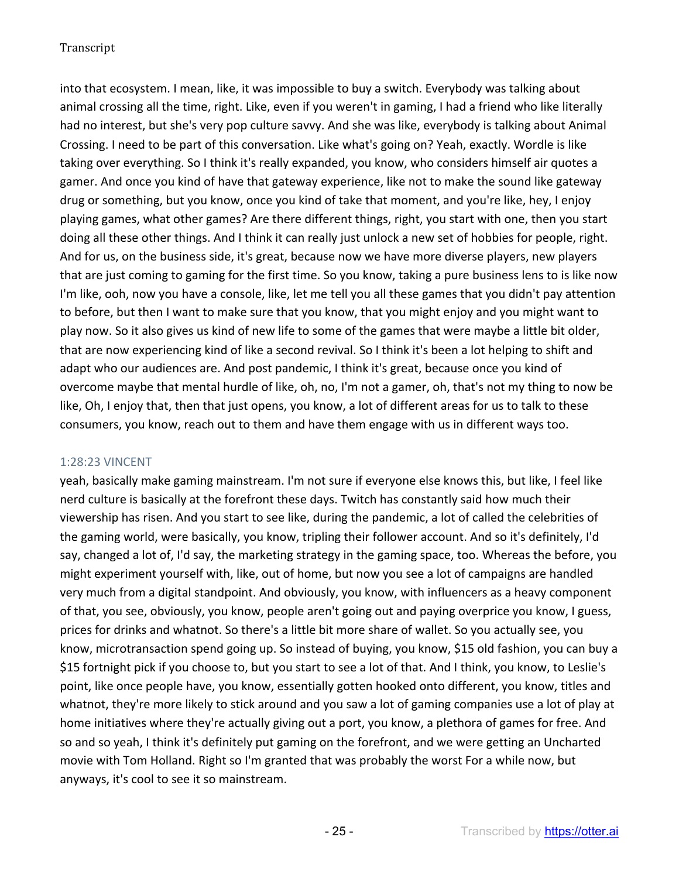into that ecosystem. I mean, like, it was impossible to buy a switch. Everybody was talking about animal crossing all the time, right. Like, even if you weren't in gaming, I had a friend who like literally had no interest, but she's very pop culture savvy. And she was like, everybody is talking about Animal Crossing. I need to be part of this conversation. Like what's going on? Yeah, exactly. Wordle is like taking over everything. So I think it's really expanded, you know, who considers himself air quotes a gamer. And once you kind of have that gateway experience, like not to make the sound like gateway drug or something, but you know, once you kind of take that moment, and you're like, hey, I enjoy playing games, what other games? Are there different things, right, you start with one, then you start doing all these other things. And I think it can really just unlock a new set of hobbies for people, right. And for us, on the business side, it's great, because now we have more diverse players, new players that are just coming to gaming for the first time. So you know, taking a pure business lens to is like now I'm like, ooh, now you have a console, like, let me tell you all these games that you didn't pay attention to before, but then I want to make sure that you know, that you might enjoy and you might want to play now. So it also gives us kind of new life to some of the games that were maybe a little bit older, that are now experiencing kind of like a second revival. So I think it's been a lot helping to shift and adapt who our audiences are. And post pandemic, I think it's great, because once you kind of overcome maybe that mental hurdle of like, oh, no, I'm not a gamer, oh, that's not my thing to now be like, Oh, I enjoy that, then that just opens, you know, a lot of different areas for us to talk to these consumers, you know, reach out to them and have them engage with us in different ways too.

### 1:28:23 VINCENT

yeah, basically make gaming mainstream. I'm not sure if everyone else knows this, but like, I feel like nerd culture is basically at the forefront these days. Twitch has constantly said how much their viewership has risen. And you start to see like, during the pandemic, a lot of called the celebrities of the gaming world, were basically, you know, tripling their follower account. And so it's definitely, I'd say, changed a lot of, I'd say, the marketing strategy in the gaming space, too. Whereas the before, you might experiment yourself with, like, out of home, but now you see a lot of campaigns are handled very much from a digital standpoint. And obviously, you know, with influencers as a heavy component of that, you see, obviously, you know, people aren't going out and paying overprice you know, I guess, prices for drinks and whatnot. So there's a little bit more share of wallet. So you actually see, you know, microtransaction spend going up. So instead of buying, you know, \$15 old fashion, you can buy a \$15 fortnight pick if you choose to, but you start to see a lot of that. And I think, you know, to Leslie's point, like once people have, you know, essentially gotten hooked onto different, you know, titles and whatnot, they're more likely to stick around and you saw a lot of gaming companies use a lot of play at home initiatives where they're actually giving out a port, you know, a plethora of games for free. And so and so yeah, I think it's definitely put gaming on the forefront, and we were getting an Uncharted movie with Tom Holland. Right so I'm granted that was probably the worst For a while now, but anyways, it's cool to see it so mainstream.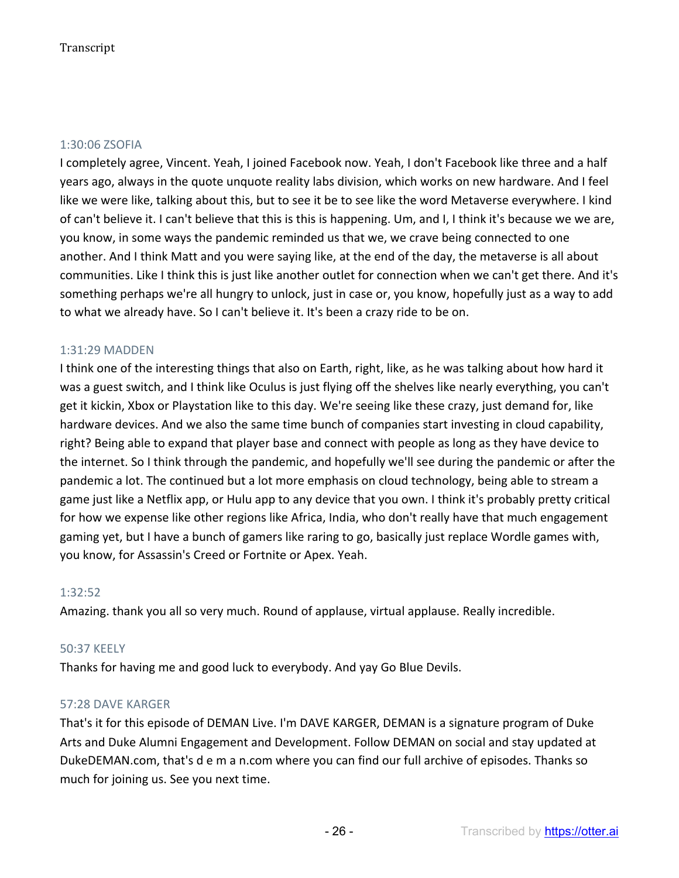#### 1:30:06 ZSOFIA

I completely agree, Vincent. Yeah, I joined Facebook now. Yeah, I don't Facebook like three and a half years ago, always in the quote unquote reality labs division, which works on new hardware. And I feel like we were like, talking about this, but to see it be to see like the word Metaverse everywhere. I kind of can't believe it. I can't believe that this is this is happening. Um, and I, I think it's because we we are, you know, in some ways the pandemic reminded us that we, we crave being connected to one another. And I think Matt and you were saying like, at the end of the day, the metaverse is all about communities. Like I think this is just like another outlet for connection when we can't get there. And it's something perhaps we're all hungry to unlock, just in case or, you know, hopefully just as a way to add to what we already have. So I can't believe it. It's been a crazy ride to be on.

#### 1:31:29 MADDEN

I think one of the interesting things that also on Earth, right, like, as he was talking about how hard it was a guest switch, and I think like Oculus is just flying off the shelves like nearly everything, you can't get it kickin, Xbox or Playstation like to this day. We're seeing like these crazy, just demand for, like hardware devices. And we also the same time bunch of companies start investing in cloud capability, right? Being able to expand that player base and connect with people as long as they have device to the internet. So I think through the pandemic, and hopefully we'll see during the pandemic or after the pandemic a lot. The continued but a lot more emphasis on cloud technology, being able to stream a game just like a Netflix app, or Hulu app to any device that you own. I think it's probably pretty critical for how we expense like other regions like Africa, India, who don't really have that much engagement gaming yet, but I have a bunch of gamers like raring to go, basically just replace Wordle games with, you know, for Assassin's Creed or Fortnite or Apex. Yeah.

#### 1:32:52

Amazing. thank you all so very much. Round of applause, virtual applause. Really incredible.

#### 50:37 KEELY

Thanks for having me and good luck to everybody. And yay Go Blue Devils.

#### 57:28 DAVE KARGER

That's it for this episode of DEMAN Live. I'm DAVE KARGER, DEMAN is a signature program of Duke Arts and Duke Alumni Engagement and Development. Follow DEMAN on social and stay updated at DukeDEMAN.com, that's d e m a n.com where you can find our full archive of episodes. Thanks so much for joining us. See you next time.